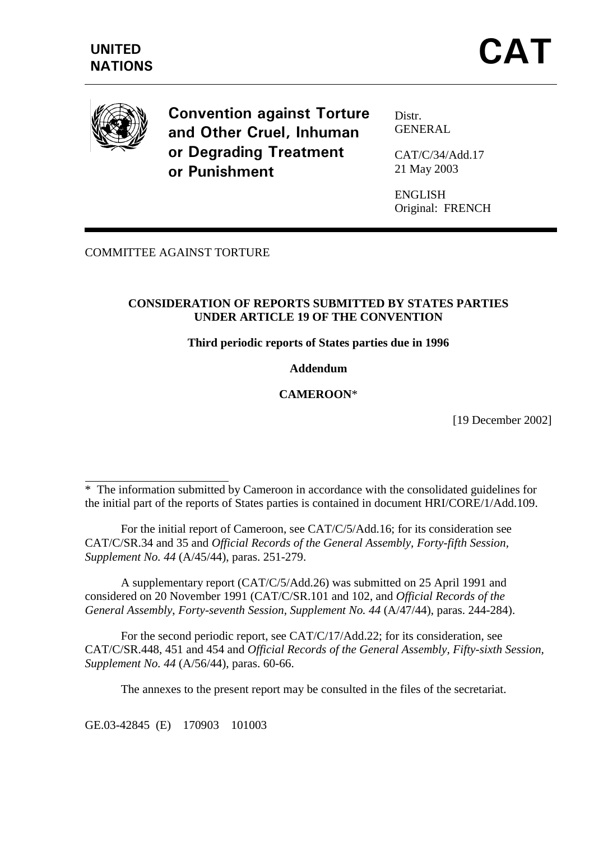

 $\overline{a}$ 

**Convention against Torture** and Other Cruel, Inhuman or Degrading Treatment or Punishment

Distr. **GENERAL** 

CAT/C/34/Add.17 21 May 2003

ENGLISH Original: FRENCH

## COMMITTEE AGAINST TORTURE

## **CONSIDERATION OF REPORTS SUBMITTED BY STATES PARTIES UNDER ARTICLE 19 OF THE CONVENTION**

#### **Third periodic reports of States parties due in 1996**

#### **Addendum**

## **CAMEROON**\*

[19 December 2002]

\* The information submitted by Cameroon in accordance with the consolidated guidelines for the initial part of the reports of States parties is contained in document HRI/CORE/1/Add.109.

 For the initial report of Cameroon, see CAT/C/5/Add.16; for its consideration see CAT/C/SR.34 and 35 and *Official Records of the General Assembly, Forty-fifth Session, Supplement No. 44* (A/45/44), paras. 251-279.

 A supplementary report (CAT/C/5/Add.26) was submitted on 25 April 1991 and considered on 20 November 1991 (CAT/C/SR.101 and 102, and *Official Records of the General Assembly*, *Forty-seventh Session, Supplement No. 44* (A/47/44), paras. 244-284).

 For the second periodic report, see CAT/C/17/Add.22; for its consideration, see CAT/C/SR.448, 451 and 454 and *Official Records of the General Assembly, Fifty-sixth Session, Supplement No. 44* (A/56/44), paras. 60-66.

The annexes to the present report may be consulted in the files of the secretariat.

GE.03-42845 (E) 170903 101003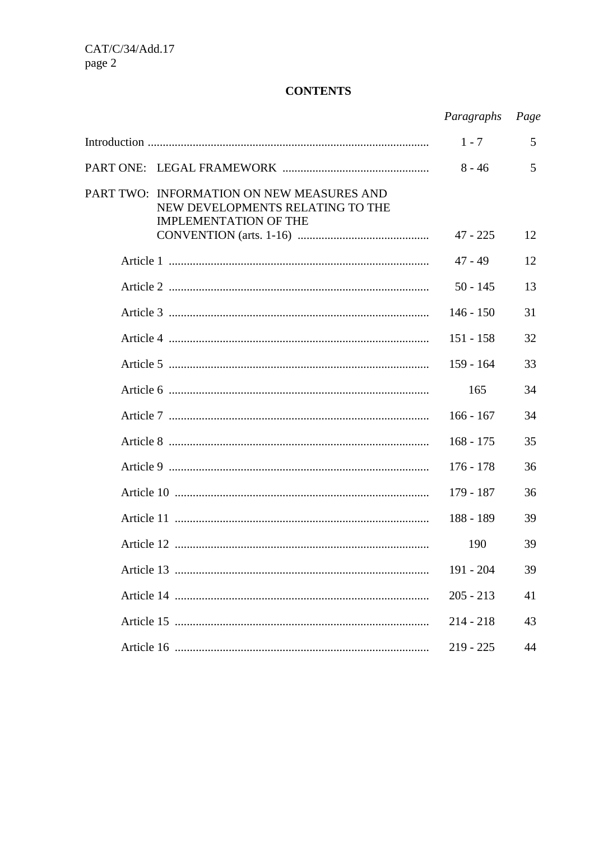## **CONTENTS**

|                                                                                                               | Paragraphs  | Page |
|---------------------------------------------------------------------------------------------------------------|-------------|------|
|                                                                                                               | $1 - 7$     | 5    |
|                                                                                                               | $8 - 46$    | 5    |
| PART TWO: INFORMATION ON NEW MEASURES AND<br>NEW DEVELOPMENTS RELATING TO THE<br><b>IMPLEMENTATION OF THE</b> |             |      |
|                                                                                                               | $47 - 225$  | 12   |
|                                                                                                               | $47 - 49$   | 12   |
|                                                                                                               | $50 - 145$  | 13   |
|                                                                                                               | $146 - 150$ | 31   |
|                                                                                                               | $151 - 158$ | 32   |
|                                                                                                               | $159 - 164$ | 33   |
|                                                                                                               | 165         | 34   |
|                                                                                                               | $166 - 167$ | 34   |
|                                                                                                               | $168 - 175$ | 35   |
|                                                                                                               | $176 - 178$ | 36   |
|                                                                                                               | $179 - 187$ | 36   |
|                                                                                                               | $188 - 189$ | 39   |
|                                                                                                               | 190         | 39   |
|                                                                                                               | 191 - 204   | 39   |
|                                                                                                               | $205 - 213$ | 41   |
|                                                                                                               | $214 - 218$ | 43   |
|                                                                                                               | $219 - 225$ | 44   |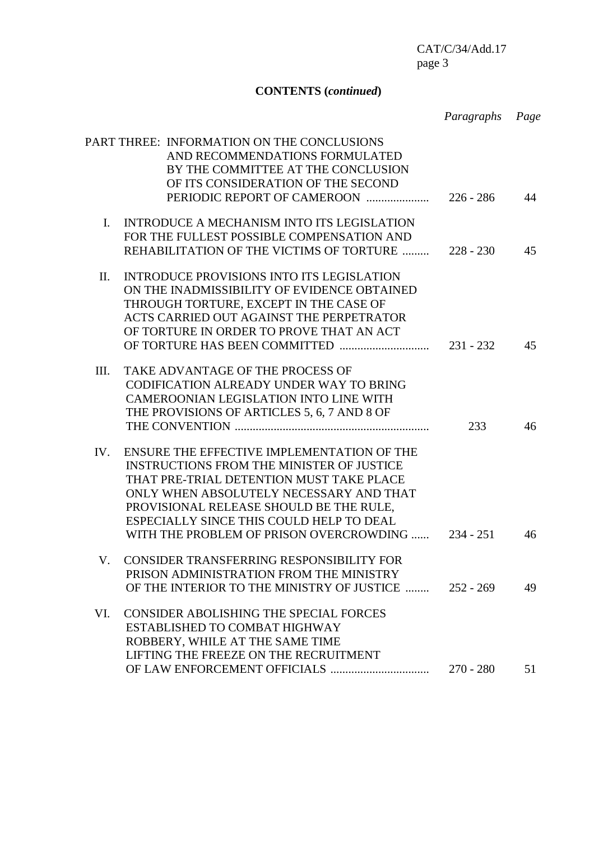# **CONTENTS (***continued***)**

|                |                                                                                                                                                                                                                                                                                                                                    | Paragraphs Page |    |
|----------------|------------------------------------------------------------------------------------------------------------------------------------------------------------------------------------------------------------------------------------------------------------------------------------------------------------------------------------|-----------------|----|
|                | PART THREE: INFORMATION ON THE CONCLUSIONS<br>AND RECOMMENDATIONS FORMULATED<br>BY THE COMMITTEE AT THE CONCLUSION<br>OF ITS CONSIDERATION OF THE SECOND<br>PERIODIC REPORT OF CAMEROON                                                                                                                                            | $226 - 286$     | 44 |
| $\mathbf{I}$ . | INTRODUCE A MECHANISM INTO ITS LEGISLATION                                                                                                                                                                                                                                                                                         |                 |    |
|                | FOR THE FULLEST POSSIBLE COMPENSATION AND<br>REHABILITATION OF THE VICTIMS OF TORTURE                                                                                                                                                                                                                                              | $228 - 230$     | 45 |
| II.            | <b>INTRODUCE PROVISIONS INTO ITS LEGISLATION</b><br>ON THE INADMISSIBILITY OF EVIDENCE OBTAINED<br>THROUGH TORTURE, EXCEPT IN THE CASE OF<br>ACTS CARRIED OUT AGAINST THE PERPETRATOR<br>OF TORTURE IN ORDER TO PROVE THAT AN ACT                                                                                                  |                 | 45 |
| III.           | TAKE ADVANTAGE OF THE PROCESS OF<br>CODIFICATION ALREADY UNDER WAY TO BRING<br>CAMEROONIAN LEGISLATION INTO LINE WITH<br>THE PROVISIONS OF ARTICLES 5, 6, 7 AND 8 OF                                                                                                                                                               | 233             | 46 |
| IV.            | ENSURE THE EFFECTIVE IMPLEMENTATION OF THE<br><b>INSTRUCTIONS FROM THE MINISTER OF JUSTICE</b><br>THAT PRE-TRIAL DETENTION MUST TAKE PLACE<br>ONLY WHEN ABSOLUTELY NECESSARY AND THAT<br>PROVISIONAL RELEASE SHOULD BE THE RULE,<br>ESPECIALLY SINCE THIS COULD HELP TO DEAL<br>WITH THE PROBLEM OF PRISON OVERCROWDING  234 - 251 |                 | 46 |
| V.             | CONSIDER TRANSFERRING RESPONSIBILITY FOR<br>PRISON ADMINISTRATION FROM THE MINISTRY<br>OF THE INTERIOR TO THE MINISTRY OF JUSTICE                                                                                                                                                                                                  | $252 - 269$     | 49 |
| VI.            | <b>CONSIDER ABOLISHING THE SPECIAL FORCES</b><br>ESTABLISHED TO COMBAT HIGHWAY<br>ROBBERY, WHILE AT THE SAME TIME<br>LIFTING THE FREEZE ON THE RECRUITMENT                                                                                                                                                                         | $270 - 280$     | 51 |
|                |                                                                                                                                                                                                                                                                                                                                    |                 |    |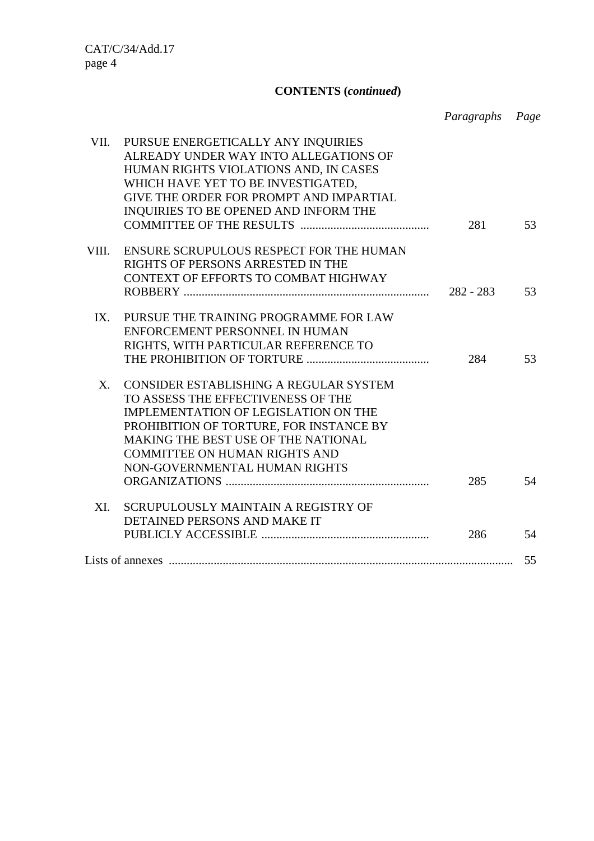# **CONTENTS (***continued***)**

*Paragraphs Page*

| VII.<br>PURSUE ENERGETICALLY ANY INQUIRIES<br>ALREADY UNDER WAY INTO ALLEGATIONS OF |     |    |
|-------------------------------------------------------------------------------------|-----|----|
| HUMAN RIGHTS VIOLATIONS AND, IN CASES                                               |     |    |
| WHICH HAVE YET TO BE INVESTIGATED,                                                  |     |    |
| GIVE THE ORDER FOR PROMPT AND IMPARTIAL                                             |     |    |
| INQUIRIES TO BE OPENED AND INFORM THE                                               |     |    |
|                                                                                     | 281 | 53 |
| VIII.<br>ENSURE SCRUPULOUS RESPECT FOR THE HUMAN                                    |     |    |
| RIGHTS OF PERSONS ARRESTED IN THE                                                   |     |    |
| CONTEXT OF EFFORTS TO COMBAT HIGHWAY                                                |     |    |
|                                                                                     |     | 53 |
| PURSUE THE TRAINING PROGRAMME FOR LAW<br>IX.                                        |     |    |
| ENFORCEMENT PERSONNEL IN HUMAN                                                      |     |    |
| RIGHTS, WITH PARTICULAR REFERENCE TO                                                |     |    |
|                                                                                     | 284 | 53 |
| $X_{\cdot}$<br>CONSIDER ESTABLISHING A REGULAR SYSTEM                               |     |    |
| TO ASSESS THE EFFECTIVENESS OF THE                                                  |     |    |
| IMPLEMENTATION OF LEGISLATION ON THE                                                |     |    |
| PROHIBITION OF TORTURE, FOR INSTANCE BY                                             |     |    |
| <b>MAKING THE BEST USE OF THE NATIONAL</b>                                          |     |    |
| <b>COMMITTEE ON HUMAN RIGHTS AND</b>                                                |     |    |
| NON-GOVERNMENTAL HUMAN RIGHTS                                                       |     |    |
|                                                                                     | 285 | 54 |
| XI.<br>SCRUPULOUSLY MAINTAIN A REGISTRY OF                                          |     |    |
| DETAINED PERSONS AND MAKE IT                                                        |     |    |
|                                                                                     | 286 | 54 |
|                                                                                     |     | 55 |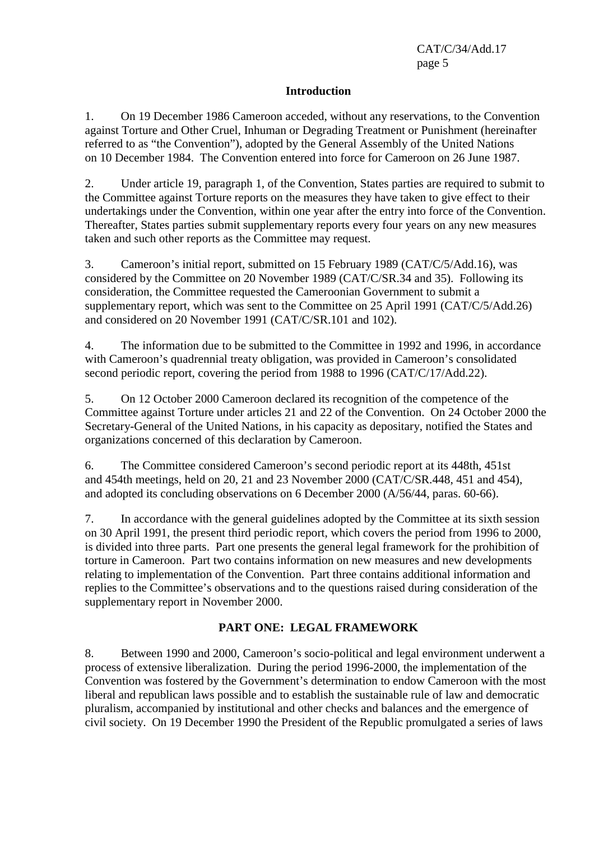#### **Introduction**

1. On 19 December 1986 Cameroon acceded, without any reservations, to the Convention against Torture and Other Cruel, Inhuman or Degrading Treatment or Punishment (hereinafter referred to as "the Convention"), adopted by the General Assembly of the United Nations on 10 December 1984. The Convention entered into force for Cameroon on 26 June 1987.

2. Under article 19, paragraph 1, of the Convention, States parties are required to submit to the Committee against Torture reports on the measures they have taken to give effect to their undertakings under the Convention, within one year after the entry into force of the Convention. Thereafter, States parties submit supplementary reports every four years on any new measures taken and such other reports as the Committee may request.

3. Cameroon's initial report, submitted on 15 February 1989 (CAT/C/5/Add.16), was considered by the Committee on 20 November 1989 (CAT/C/SR.34 and 35). Following its consideration, the Committee requested the Cameroonian Government to submit a supplementary report, which was sent to the Committee on 25 April 1991 (CAT/C/5/Add.26) and considered on 20 November 1991 (CAT/C/SR.101 and 102).

4. The information due to be submitted to the Committee in 1992 and 1996, in accordance with Cameroon's quadrennial treaty obligation, was provided in Cameroon's consolidated second periodic report, covering the period from 1988 to 1996 (CAT/C/17/Add.22).

5. On 12 October 2000 Cameroon declared its recognition of the competence of the Committee against Torture under articles 21 and 22 of the Convention. On 24 October 2000 the Secretary-General of the United Nations, in his capacity as depositary, notified the States and organizations concerned of this declaration by Cameroon.

6. The Committee considered Cameroon's second periodic report at its 448th, 451st and 454th meetings, held on 20, 21 and 23 November 2000 (CAT/C/SR.448, 451 and 454), and adopted its concluding observations on 6 December 2000 (A/56/44, paras. 60-66).

7. In accordance with the general guidelines adopted by the Committee at its sixth session on 30 April 1991, the present third periodic report, which covers the period from 1996 to 2000, is divided into three parts. Part one presents the general legal framework for the prohibition of torture in Cameroon. Part two contains information on new measures and new developments relating to implementation of the Convention. Part three contains additional information and replies to the Committee's observations and to the questions raised during consideration of the supplementary report in November 2000.

## **PART ONE: LEGAL FRAMEWORK**

8. Between 1990 and 2000, Cameroon's socio-political and legal environment underwent a process of extensive liberalization. During the period 1996-2000, the implementation of the Convention was fostered by the Government's determination to endow Cameroon with the most liberal and republican laws possible and to establish the sustainable rule of law and democratic pluralism, accompanied by institutional and other checks and balances and the emergence of civil society. On 19 December 1990 the President of the Republic promulgated a series of laws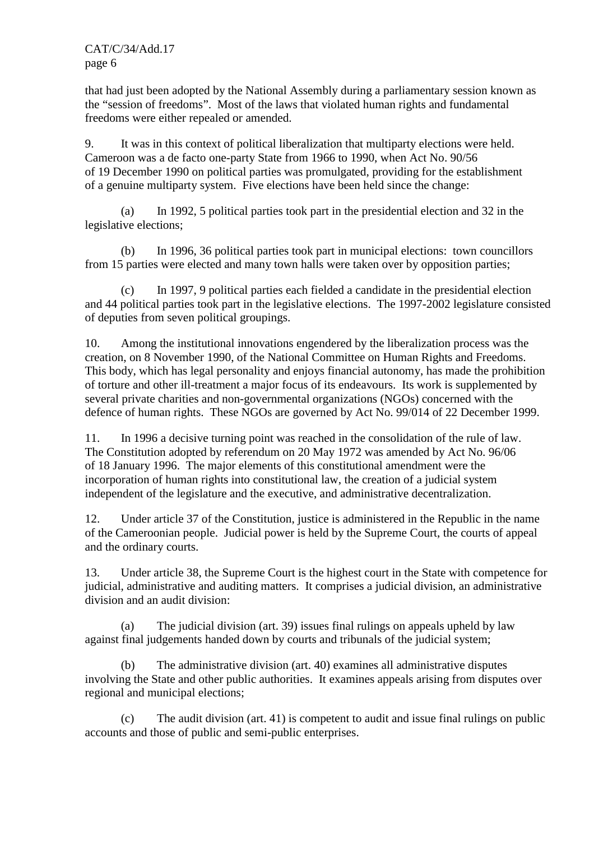that had just been adopted by the National Assembly during a parliamentary session known as the "session of freedoms". Most of the laws that violated human rights and fundamental freedoms were either repealed or amended.

9. It was in this context of political liberalization that multiparty elections were held. Cameroon was a de facto one-party State from 1966 to 1990, when Act No. 90/56 of 19 December 1990 on political parties was promulgated, providing for the establishment of a genuine multiparty system. Five elections have been held since the change:

 (a) In 1992, 5 political parties took part in the presidential election and 32 in the legislative elections;

 (b) In 1996, 36 political parties took part in municipal elections: town councillors from 15 parties were elected and many town halls were taken over by opposition parties;

 (c) In 1997, 9 political parties each fielded a candidate in the presidential election and 44 political parties took part in the legislative elections. The 1997-2002 legislature consisted of deputies from seven political groupings.

10. Among the institutional innovations engendered by the liberalization process was the creation, on 8 November 1990, of the National Committee on Human Rights and Freedoms. This body, which has legal personality and enjoys financial autonomy, has made the prohibition of torture and other ill-treatment a major focus of its endeavours. Its work is supplemented by several private charities and non-governmental organizations (NGOs) concerned with the defence of human rights. These NGOs are governed by Act No. 99/014 of 22 December 1999.

11. In 1996 a decisive turning point was reached in the consolidation of the rule of law. The Constitution adopted by referendum on 20 May 1972 was amended by Act No. 96/06 of 18 January 1996. The major elements of this constitutional amendment were the incorporation of human rights into constitutional law, the creation of a judicial system independent of the legislature and the executive, and administrative decentralization.

12. Under article 37 of the Constitution, justice is administered in the Republic in the name of the Cameroonian people. Judicial power is held by the Supreme Court, the courts of appeal and the ordinary courts.

13. Under article 38, the Supreme Court is the highest court in the State with competence for judicial, administrative and auditing matters. It comprises a judicial division, an administrative division and an audit division:

 (a) The judicial division (art. 39) issues final rulings on appeals upheld by law against final judgements handed down by courts and tribunals of the judicial system;

 (b) The administrative division (art. 40) examines all administrative disputes involving the State and other public authorities. It examines appeals arising from disputes over regional and municipal elections;

 (c) The audit division (art. 41) is competent to audit and issue final rulings on public accounts and those of public and semi-public enterprises.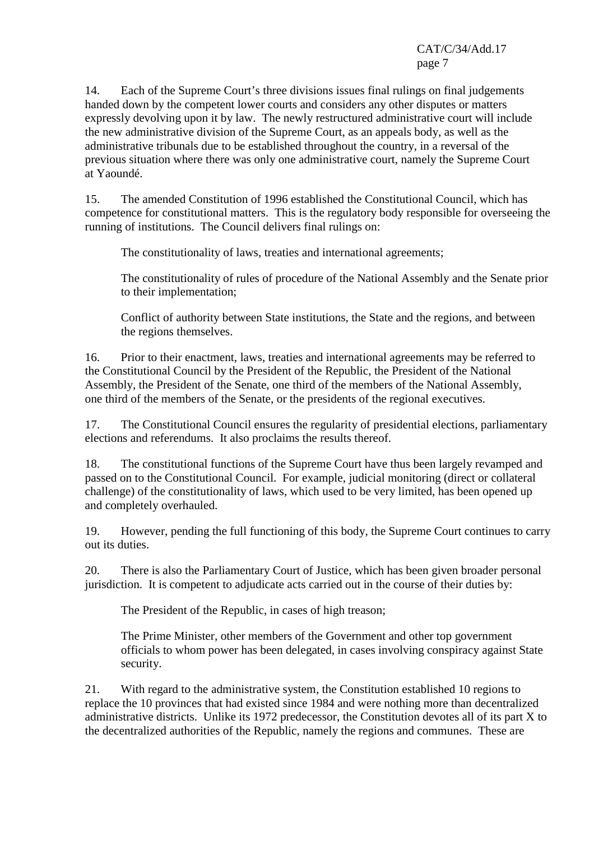14. Each of the Supreme Court's three divisions issues final rulings on final judgements handed down by the competent lower courts and considers any other disputes or matters expressly devolving upon it by law. The newly restructured administrative court will include the new administrative division of the Supreme Court, as an appeals body, as well as the administrative tribunals due to be established throughout the country, in a reversal of the previous situation where there was only one administrative court, namely the Supreme Court at Yaoundé.

15. The amended Constitution of 1996 established the Constitutional Council, which has competence for constitutional matters. This is the regulatory body responsible for overseeing the running of institutions. The Council delivers final rulings on:

The constitutionality of laws, treaties and international agreements;

The constitutionality of rules of procedure of the National Assembly and the Senate prior to their implementation;

Conflict of authority between State institutions, the State and the regions, and between the regions themselves.

16. Prior to their enactment, laws, treaties and international agreements may be referred to the Constitutional Council by the President of the Republic, the President of the National Assembly, the President of the Senate, one third of the members of the National Assembly, one third of the members of the Senate, or the presidents of the regional executives.

17. The Constitutional Council ensures the regularity of presidential elections, parliamentary elections and referendums. It also proclaims the results thereof.

18. The constitutional functions of the Supreme Court have thus been largely revamped and passed on to the Constitutional Council. For example, judicial monitoring (direct or collateral challenge) of the constitutionality of laws, which used to be very limited, has been opened up and completely overhauled.

19. However, pending the full functioning of this body, the Supreme Court continues to carry out its duties.

20. There is also the Parliamentary Court of Justice, which has been given broader personal jurisdiction. It is competent to adjudicate acts carried out in the course of their duties by:

The President of the Republic, in cases of high treason;

The Prime Minister, other members of the Government and other top government officials to whom power has been delegated, in cases involving conspiracy against State security.

21. With regard to the administrative system, the Constitution established 10 regions to replace the 10 provinces that had existed since 1984 and were nothing more than decentralized administrative districts. Unlike its 1972 predecessor, the Constitution devotes all of its part X to the decentralized authorities of the Republic, namely the regions and communes. These are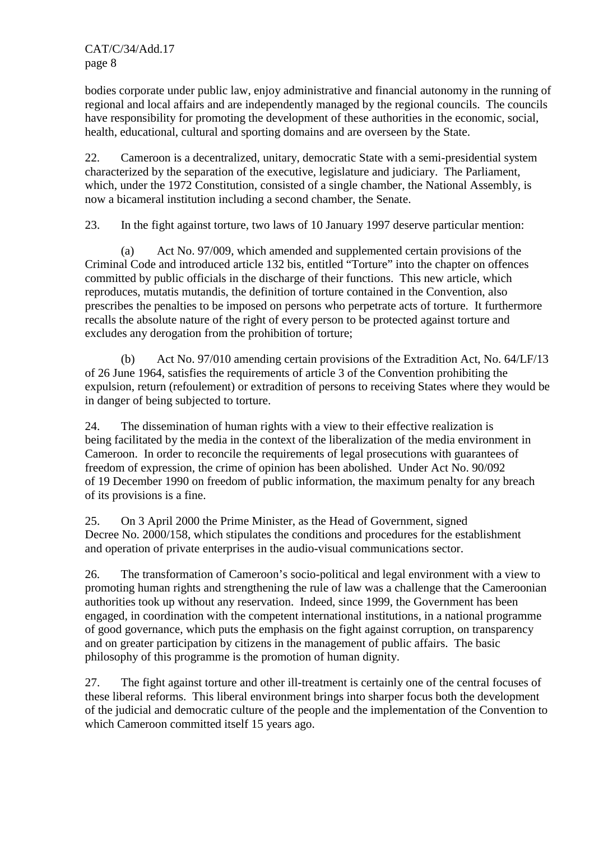bodies corporate under public law, enjoy administrative and financial autonomy in the running of regional and local affairs and are independently managed by the regional councils. The councils have responsibility for promoting the development of these authorities in the economic, social, health, educational, cultural and sporting domains and are overseen by the State.

22. Cameroon is a decentralized, unitary, democratic State with a semi-presidential system characterized by the separation of the executive, legislature and judiciary. The Parliament, which, under the 1972 Constitution, consisted of a single chamber, the National Assembly, is now a bicameral institution including a second chamber, the Senate.

23. In the fight against torture, two laws of 10 January 1997 deserve particular mention:

 (a) Act No. 97/009, which amended and supplemented certain provisions of the Criminal Code and introduced article 132 bis, entitled "Torture" into the chapter on offences committed by public officials in the discharge of their functions. This new article, which reproduces, mutatis mutandis, the definition of torture contained in the Convention, also prescribes the penalties to be imposed on persons who perpetrate acts of torture. It furthermore recalls the absolute nature of the right of every person to be protected against torture and excludes any derogation from the prohibition of torture;

 (b) Act No. 97/010 amending certain provisions of the Extradition Act, No. 64/LF/13 of 26 June 1964, satisfies the requirements of article 3 of the Convention prohibiting the expulsion, return (refoulement) or extradition of persons to receiving States where they would be in danger of being subjected to torture.

24. The dissemination of human rights with a view to their effective realization is being facilitated by the media in the context of the liberalization of the media environment in Cameroon. In order to reconcile the requirements of legal prosecutions with guarantees of freedom of expression, the crime of opinion has been abolished. Under Act No. 90/092 of 19 December 1990 on freedom of public information, the maximum penalty for any breach of its provisions is a fine.

25. On 3 April 2000 the Prime Minister, as the Head of Government, signed Decree No. 2000/158, which stipulates the conditions and procedures for the establishment and operation of private enterprises in the audio-visual communications sector.

26. The transformation of Cameroon's socio-political and legal environment with a view to promoting human rights and strengthening the rule of law was a challenge that the Cameroonian authorities took up without any reservation. Indeed, since 1999, the Government has been engaged, in coordination with the competent international institutions, in a national programme of good governance, which puts the emphasis on the fight against corruption, on transparency and on greater participation by citizens in the management of public affairs. The basic philosophy of this programme is the promotion of human dignity.

27. The fight against torture and other ill-treatment is certainly one of the central focuses of these liberal reforms. This liberal environment brings into sharper focus both the development of the judicial and democratic culture of the people and the implementation of the Convention to which Cameroon committed itself 15 years ago.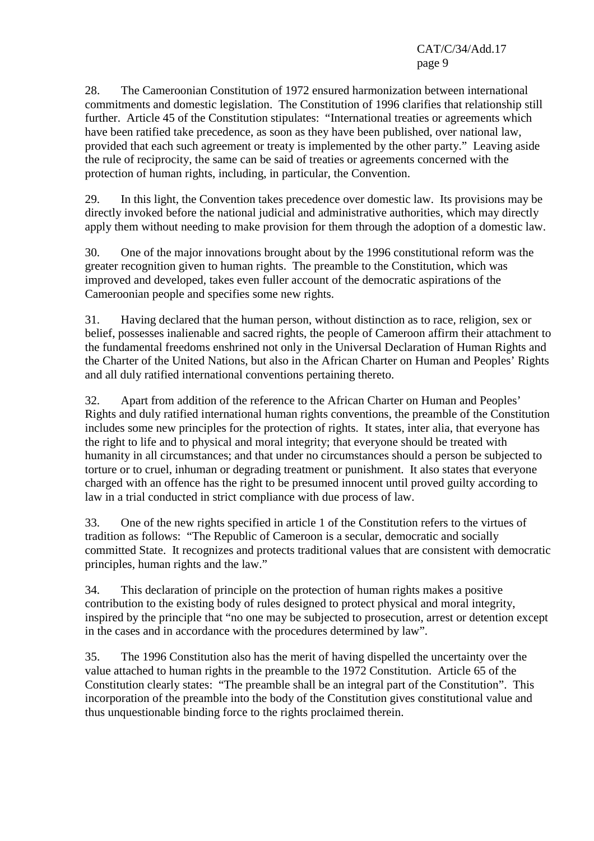28. The Cameroonian Constitution of 1972 ensured harmonization between international commitments and domestic legislation. The Constitution of 1996 clarifies that relationship still further. Article 45 of the Constitution stipulates: "International treaties or agreements which have been ratified take precedence, as soon as they have been published, over national law, provided that each such agreement or treaty is implemented by the other party." Leaving aside the rule of reciprocity, the same can be said of treaties or agreements concerned with the protection of human rights, including, in particular, the Convention.

29. In this light, the Convention takes precedence over domestic law. Its provisions may be directly invoked before the national judicial and administrative authorities, which may directly apply them without needing to make provision for them through the adoption of a domestic law.

30. One of the major innovations brought about by the 1996 constitutional reform was the greater recognition given to human rights. The preamble to the Constitution, which was improved and developed, takes even fuller account of the democratic aspirations of the Cameroonian people and specifies some new rights.

31. Having declared that the human person, without distinction as to race, religion, sex or belief, possesses inalienable and sacred rights, the people of Cameroon affirm their attachment to the fundamental freedoms enshrined not only in the Universal Declaration of Human Rights and the Charter of the United Nations, but also in the African Charter on Human and Peoples' Rights and all duly ratified international conventions pertaining thereto.

32. Apart from addition of the reference to the African Charter on Human and Peoples' Rights and duly ratified international human rights conventions, the preamble of the Constitution includes some new principles for the protection of rights. It states, inter alia, that everyone has the right to life and to physical and moral integrity; that everyone should be treated with humanity in all circumstances; and that under no circumstances should a person be subjected to torture or to cruel, inhuman or degrading treatment or punishment. It also states that everyone charged with an offence has the right to be presumed innocent until proved guilty according to law in a trial conducted in strict compliance with due process of law.

33. One of the new rights specified in article 1 of the Constitution refers to the virtues of tradition as follows: "The Republic of Cameroon is a secular, democratic and socially committed State. It recognizes and protects traditional values that are consistent with democratic principles, human rights and the law."

34. This declaration of principle on the protection of human rights makes a positive contribution to the existing body of rules designed to protect physical and moral integrity, inspired by the principle that "no one may be subjected to prosecution, arrest or detention except in the cases and in accordance with the procedures determined by law".

35. The 1996 Constitution also has the merit of having dispelled the uncertainty over the value attached to human rights in the preamble to the 1972 Constitution. Article 65 of the Constitution clearly states: "The preamble shall be an integral part of the Constitution". This incorporation of the preamble into the body of the Constitution gives constitutional value and thus unquestionable binding force to the rights proclaimed therein.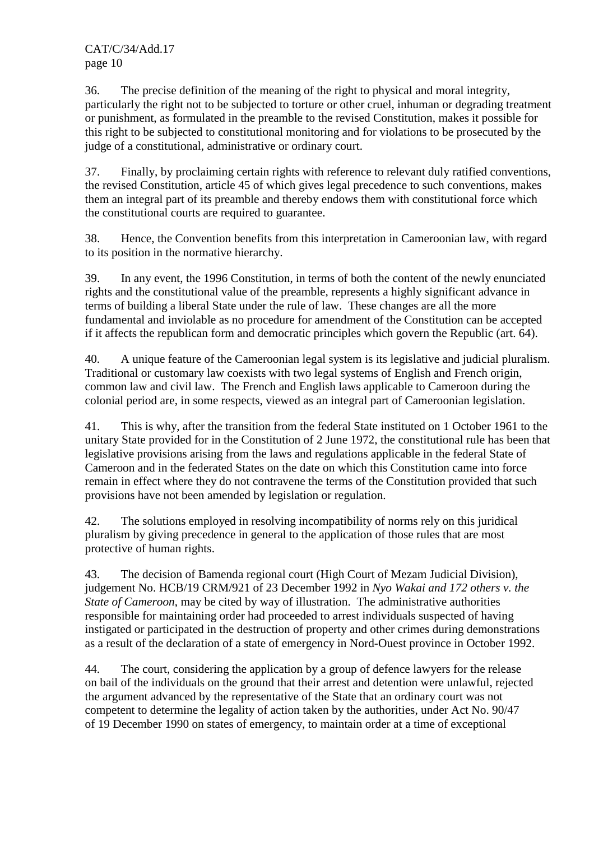36. The precise definition of the meaning of the right to physical and moral integrity, particularly the right not to be subjected to torture or other cruel, inhuman or degrading treatment or punishment, as formulated in the preamble to the revised Constitution, makes it possible for this right to be subjected to constitutional monitoring and for violations to be prosecuted by the judge of a constitutional, administrative or ordinary court.

37. Finally, by proclaiming certain rights with reference to relevant duly ratified conventions, the revised Constitution, article 45 of which gives legal precedence to such conventions, makes them an integral part of its preamble and thereby endows them with constitutional force which the constitutional courts are required to guarantee.

38. Hence, the Convention benefits from this interpretation in Cameroonian law, with regard to its position in the normative hierarchy.

39. In any event, the 1996 Constitution, in terms of both the content of the newly enunciated rights and the constitutional value of the preamble, represents a highly significant advance in terms of building a liberal State under the rule of law. These changes are all the more fundamental and inviolable as no procedure for amendment of the Constitution can be accepted if it affects the republican form and democratic principles which govern the Republic (art. 64).

40. A unique feature of the Cameroonian legal system is its legislative and judicial pluralism. Traditional or customary law coexists with two legal systems of English and French origin, common law and civil law. The French and English laws applicable to Cameroon during the colonial period are, in some respects, viewed as an integral part of Cameroonian legislation.

41. This is why, after the transition from the federal State instituted on 1 October 1961 to the unitary State provided for in the Constitution of 2 June 1972, the constitutional rule has been that legislative provisions arising from the laws and regulations applicable in the federal State of Cameroon and in the federated States on the date on which this Constitution came into force remain in effect where they do not contravene the terms of the Constitution provided that such provisions have not been amended by legislation or regulation.

42. The solutions employed in resolving incompatibility of norms rely on this juridical pluralism by giving precedence in general to the application of those rules that are most protective of human rights.

43. The decision of Bamenda regional court (High Court of Mezam Judicial Division), judgement No. HCB/19 CRM/921 of 23 December 1992 in *Nyo Wakai and 172 others v. the State of Cameroon*, may be cited by way of illustration. The administrative authorities responsible for maintaining order had proceeded to arrest individuals suspected of having instigated or participated in the destruction of property and other crimes during demonstrations as a result of the declaration of a state of emergency in Nord-Ouest province in October 1992.

44. The court, considering the application by a group of defence lawyers for the release on bail of the individuals on the ground that their arrest and detention were unlawful, rejected the argument advanced by the representative of the State that an ordinary court was not competent to determine the legality of action taken by the authorities, under Act No. 90/47 of 19 December 1990 on states of emergency, to maintain order at a time of exceptional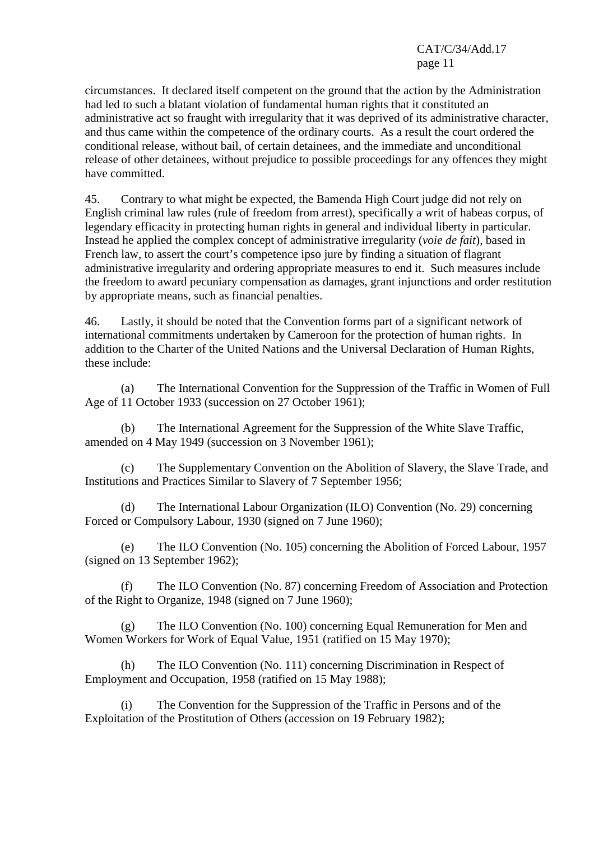circumstances. It declared itself competent on the ground that the action by the Administration had led to such a blatant violation of fundamental human rights that it constituted an administrative act so fraught with irregularity that it was deprived of its administrative character, and thus came within the competence of the ordinary courts. As a result the court ordered the conditional release, without bail, of certain detainees, and the immediate and unconditional release of other detainees, without prejudice to possible proceedings for any offences they might have committed.

45. Contrary to what might be expected, the Bamenda High Court judge did not rely on English criminal law rules (rule of freedom from arrest), specifically a writ of habeas corpus, of legendary efficacity in protecting human rights in general and individual liberty in particular. Instead he applied the complex concept of administrative irregularity (*voie de fait*), based in French law, to assert the court's competence ipso jure by finding a situation of flagrant administrative irregularity and ordering appropriate measures to end it. Such measures include the freedom to award pecuniary compensation as damages, grant injunctions and order restitution by appropriate means, such as financial penalties.

46. Lastly, it should be noted that the Convention forms part of a significant network of international commitments undertaken by Cameroon for the protection of human rights. In addition to the Charter of the United Nations and the Universal Declaration of Human Rights, these include:

 (a) The International Convention for the Suppression of the Traffic in Women of Full Age of 11 October 1933 (succession on 27 October 1961);

 (b) The International Agreement for the Suppression of the White Slave Traffic, amended on 4 May 1949 (succession on 3 November 1961);

 (c) The Supplementary Convention on the Abolition of Slavery, the Slave Trade, and Institutions and Practices Similar to Slavery of 7 September 1956;

 (d) The International Labour Organization (ILO) Convention (No. 29) concerning Forced or Compulsory Labour, 1930 (signed on 7 June 1960);

 (e) The ILO Convention (No. 105) concerning the Abolition of Forced Labour, 1957 (signed on 13 September 1962);

 (f) The ILO Convention (No. 87) concerning Freedom of Association and Protection of the Right to Organize, 1948 (signed on 7 June 1960);

 (g) The ILO Convention (No. 100) concerning Equal Remuneration for Men and Women Workers for Work of Equal Value, 1951 (ratified on 15 May 1970);

 (h) The ILO Convention (No. 111) concerning Discrimination in Respect of Employment and Occupation, 1958 (ratified on 15 May 1988);

 (i) The Convention for the Suppression of the Traffic in Persons and of the Exploitation of the Prostitution of Others (accession on 19 February 1982);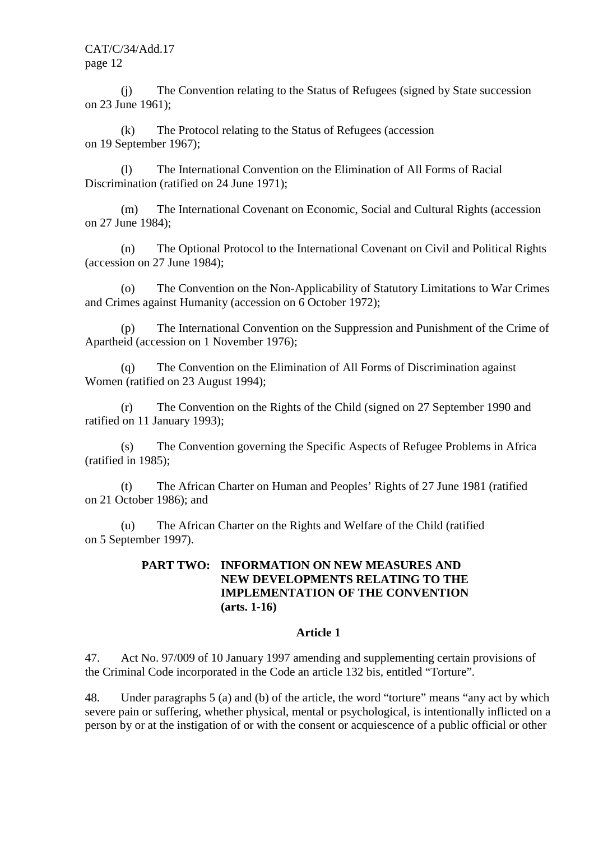(j) The Convention relating to the Status of Refugees (signed by State succession on 23 June 1961);

 (k) The Protocol relating to the Status of Refugees (accession on 19 September 1967);

 (l) The International Convention on the Elimination of All Forms of Racial Discrimination (ratified on 24 June 1971);

 (m) The International Covenant on Economic, Social and Cultural Rights (accession on 27 June 1984);

 (n) The Optional Protocol to the International Covenant on Civil and Political Rights (accession on 27 June 1984);

 (o) The Convention on the Non-Applicability of Statutory Limitations to War Crimes and Crimes against Humanity (accession on 6 October 1972);

 (p) The International Convention on the Suppression and Punishment of the Crime of Apartheid (accession on 1 November 1976);

 (q) The Convention on the Elimination of All Forms of Discrimination against Women (ratified on 23 August 1994);

 (r) The Convention on the Rights of the Child (signed on 27 September 1990 and ratified on 11 January 1993);

 (s) The Convention governing the Specific Aspects of Refugee Problems in Africa (ratified in 1985);

 (t) The African Charter on Human and Peoples' Rights of 27 June 1981 (ratified on 21 October 1986); and

 (u) The African Charter on the Rights and Welfare of the Child (ratified on 5 September 1997).

#### **PART TWO: INFORMATION ON NEW MEASURES AND NEW DEVELOPMENTS RELATING TO THE IMPLEMENTATION OF THE CONVENTION (arts. 1-16)**

#### **Article 1**

47. Act No. 97/009 of 10 January 1997 amending and supplementing certain provisions of the Criminal Code incorporated in the Code an article 132 bis, entitled "Torture".

48. Under paragraphs 5 (a) and (b) of the article, the word "torture" means "any act by which severe pain or suffering, whether physical, mental or psychological, is intentionally inflicted on a person by or at the instigation of or with the consent or acquiescence of a public official or other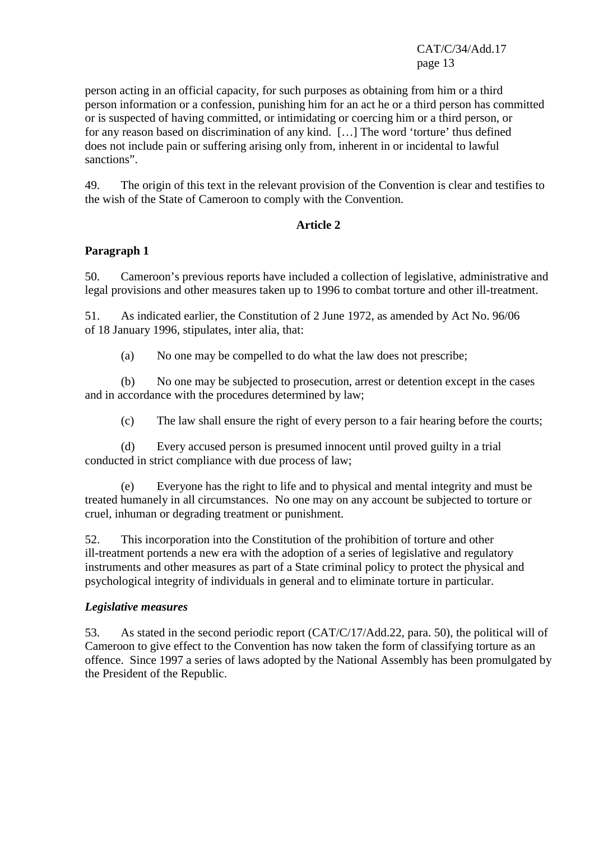person acting in an official capacity, for such purposes as obtaining from him or a third person information or a confession, punishing him for an act he or a third person has committed or is suspected of having committed, or intimidating or coercing him or a third person, or for any reason based on discrimination of any kind. […] The word 'torture' thus defined does not include pain or suffering arising only from, inherent in or incidental to lawful sanctions".

49. The origin of this text in the relevant provision of the Convention is clear and testifies to the wish of the State of Cameroon to comply with the Convention.

## **Article 2**

## **Paragraph 1**

50. Cameroon's previous reports have included a collection of legislative, administrative and legal provisions and other measures taken up to 1996 to combat torture and other ill-treatment.

51. As indicated earlier, the Constitution of 2 June 1972, as amended by Act No. 96/06 of 18 January 1996, stipulates, inter alia, that:

(a) No one may be compelled to do what the law does not prescribe;

 (b) No one may be subjected to prosecution, arrest or detention except in the cases and in accordance with the procedures determined by law;

(c) The law shall ensure the right of every person to a fair hearing before the courts;

 (d) Every accused person is presumed innocent until proved guilty in a trial conducted in strict compliance with due process of law;

 (e) Everyone has the right to life and to physical and mental integrity and must be treated humanely in all circumstances. No one may on any account be subjected to torture or cruel, inhuman or degrading treatment or punishment.

52. This incorporation into the Constitution of the prohibition of torture and other ill-treatment portends a new era with the adoption of a series of legislative and regulatory instruments and other measures as part of a State criminal policy to protect the physical and psychological integrity of individuals in general and to eliminate torture in particular.

## *Legislative measures*

53. As stated in the second periodic report (CAT/C/17/Add.22, para. 50), the political will of Cameroon to give effect to the Convention has now taken the form of classifying torture as an offence. Since 1997 a series of laws adopted by the National Assembly has been promulgated by the President of the Republic.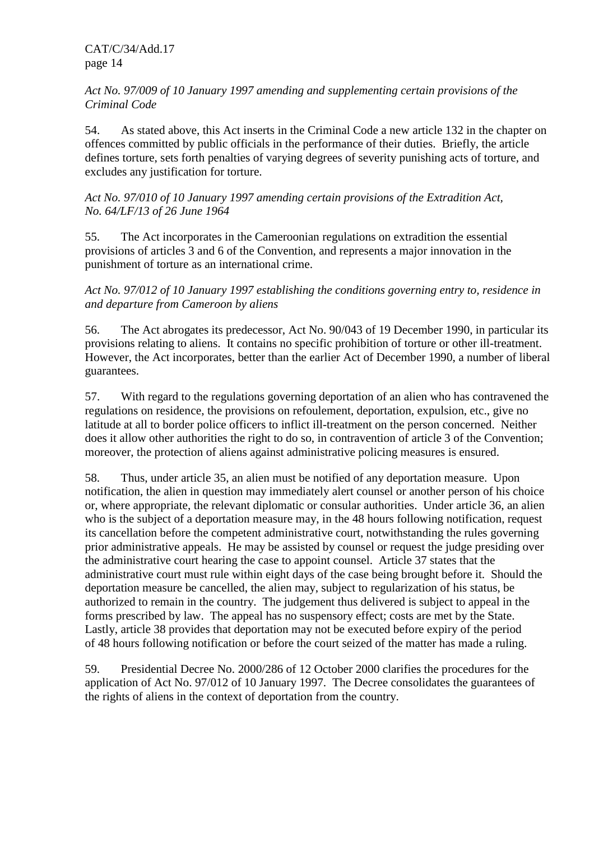## *Act No. 97/009 of 10 January 1997 amending and supplementing certain provisions of the Criminal Code*

54. As stated above, this Act inserts in the Criminal Code a new article 132 in the chapter on offences committed by public officials in the performance of their duties. Briefly, the article defines torture, sets forth penalties of varying degrees of severity punishing acts of torture, and excludes any justification for torture.

## *Act No. 97/010 of 10 January 1997 amending certain provisions of the Extradition Act, No. 64/LF/13 of 26 June 1964*

55. The Act incorporates in the Cameroonian regulations on extradition the essential provisions of articles 3 and 6 of the Convention, and represents a major innovation in the punishment of torture as an international crime.

*Act No. 97/012 of 10 January 1997 establishing the conditions governing entry to, residence in and departure from Cameroon by aliens* 

56. The Act abrogates its predecessor, Act No. 90/043 of 19 December 1990, in particular its provisions relating to aliens. It contains no specific prohibition of torture or other ill-treatment. However, the Act incorporates, better than the earlier Act of December 1990, a number of liberal guarantees.

57. With regard to the regulations governing deportation of an alien who has contravened the regulations on residence, the provisions on refoulement, deportation, expulsion, etc., give no latitude at all to border police officers to inflict ill-treatment on the person concerned. Neither does it allow other authorities the right to do so, in contravention of article 3 of the Convention; moreover, the protection of aliens against administrative policing measures is ensured.

58. Thus, under article 35, an alien must be notified of any deportation measure. Upon notification, the alien in question may immediately alert counsel or another person of his choice or, where appropriate, the relevant diplomatic or consular authorities. Under article 36, an alien who is the subject of a deportation measure may, in the 48 hours following notification, request its cancellation before the competent administrative court, notwithstanding the rules governing prior administrative appeals. He may be assisted by counsel or request the judge presiding over the administrative court hearing the case to appoint counsel. Article 37 states that the administrative court must rule within eight days of the case being brought before it. Should the deportation measure be cancelled, the alien may, subject to regularization of his status, be authorized to remain in the country. The judgement thus delivered is subject to appeal in the forms prescribed by law. The appeal has no suspensory effect; costs are met by the State. Lastly, article 38 provides that deportation may not be executed before expiry of the period of 48 hours following notification or before the court seized of the matter has made a ruling.

59. Presidential Decree No. 2000/286 of 12 October 2000 clarifies the procedures for the application of Act No. 97/012 of 10 January 1997. The Decree consolidates the guarantees of the rights of aliens in the context of deportation from the country.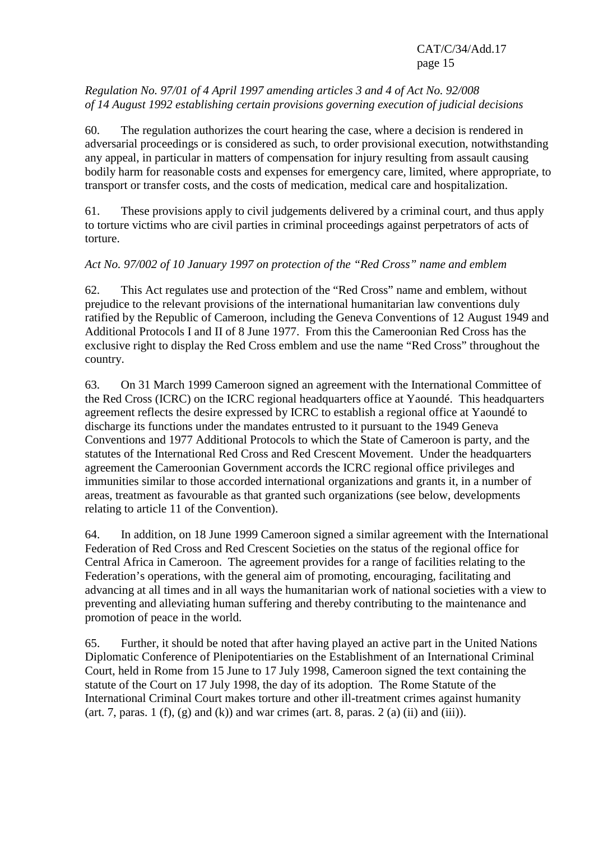## *Regulation No. 97/01 of 4 April 1997 amending articles 3 and 4 of Act No. 92/008 of 14 August 1992 establishing certain provisions governing execution of judicial decisions*

60. The regulation authorizes the court hearing the case, where a decision is rendered in adversarial proceedings or is considered as such, to order provisional execution, notwithstanding any appeal, in particular in matters of compensation for injury resulting from assault causing bodily harm for reasonable costs and expenses for emergency care, limited, where appropriate, to transport or transfer costs, and the costs of medication, medical care and hospitalization.

61. These provisions apply to civil judgements delivered by a criminal court, and thus apply to torture victims who are civil parties in criminal proceedings against perpetrators of acts of torture.

## *Act No. 97/002 of 10 January 1997 on protection of the "Red Cross" name and emblem*

62. This Act regulates use and protection of the "Red Cross" name and emblem, without prejudice to the relevant provisions of the international humanitarian law conventions duly ratified by the Republic of Cameroon, including the Geneva Conventions of 12 August 1949 and Additional Protocols I and II of 8 June 1977. From this the Cameroonian Red Cross has the exclusive right to display the Red Cross emblem and use the name "Red Cross" throughout the country.

63. On 31 March 1999 Cameroon signed an agreement with the International Committee of the Red Cross (ICRC) on the ICRC regional headquarters office at Yaoundé. This headquarters agreement reflects the desire expressed by ICRC to establish a regional office at Yaoundé to discharge its functions under the mandates entrusted to it pursuant to the 1949 Geneva Conventions and 1977 Additional Protocols to which the State of Cameroon is party, and the statutes of the International Red Cross and Red Crescent Movement. Under the headquarters agreement the Cameroonian Government accords the ICRC regional office privileges and immunities similar to those accorded international organizations and grants it, in a number of areas, treatment as favourable as that granted such organizations (see below, developments relating to article 11 of the Convention).

64. In addition, on 18 June 1999 Cameroon signed a similar agreement with the International Federation of Red Cross and Red Crescent Societies on the status of the regional office for Central Africa in Cameroon. The agreement provides for a range of facilities relating to the Federation's operations, with the general aim of promoting, encouraging, facilitating and advancing at all times and in all ways the humanitarian work of national societies with a view to preventing and alleviating human suffering and thereby contributing to the maintenance and promotion of peace in the world.

65. Further, it should be noted that after having played an active part in the United Nations Diplomatic Conference of Plenipotentiaries on the Establishment of an International Criminal Court, held in Rome from 15 June to 17 July 1998, Cameroon signed the text containing the statute of the Court on 17 July 1998, the day of its adoption. The Rome Statute of the International Criminal Court makes torture and other ill-treatment crimes against humanity (art. 7, paras. 1 (f), (g) and (k)) and war crimes (art. 8, paras. 2 (a) (ii) and (iii)).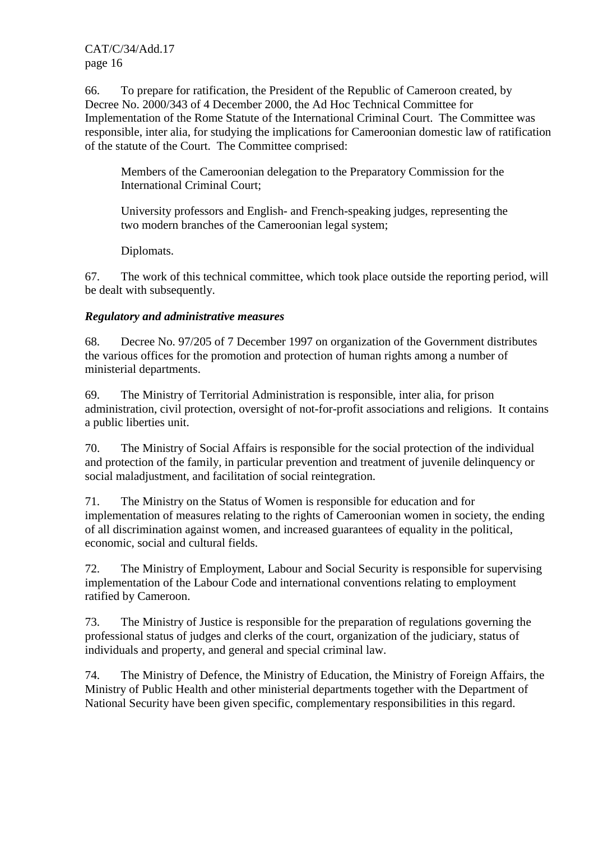66. To prepare for ratification, the President of the Republic of Cameroon created, by Decree No. 2000/343 of 4 December 2000, the Ad Hoc Technical Committee for Implementation of the Rome Statute of the International Criminal Court. The Committee was responsible, inter alia, for studying the implications for Cameroonian domestic law of ratification of the statute of the Court. The Committee comprised:

 Members of the Cameroonian delegation to the Preparatory Commission for the International Criminal Court;

 University professors and English- and French-speaking judges, representing the two modern branches of the Cameroonian legal system;

Diplomats.

67. The work of this technical committee, which took place outside the reporting period, will be dealt with subsequently.

## *Regulatory and administrative measures*

68. Decree No. 97/205 of 7 December 1997 on organization of the Government distributes the various offices for the promotion and protection of human rights among a number of ministerial departments.

69. The Ministry of Territorial Administration is responsible, inter alia, for prison administration, civil protection, oversight of not-for-profit associations and religions. It contains a public liberties unit.

70. The Ministry of Social Affairs is responsible for the social protection of the individual and protection of the family, in particular prevention and treatment of juvenile delinquency or social maladjustment, and facilitation of social reintegration.

71. The Ministry on the Status of Women is responsible for education and for implementation of measures relating to the rights of Cameroonian women in society, the ending of all discrimination against women, and increased guarantees of equality in the political, economic, social and cultural fields.

72. The Ministry of Employment, Labour and Social Security is responsible for supervising implementation of the Labour Code and international conventions relating to employment ratified by Cameroon.

73. The Ministry of Justice is responsible for the preparation of regulations governing the professional status of judges and clerks of the court, organization of the judiciary, status of individuals and property, and general and special criminal law.

74. The Ministry of Defence, the Ministry of Education, the Ministry of Foreign Affairs, the Ministry of Public Health and other ministerial departments together with the Department of National Security have been given specific, complementary responsibilities in this regard.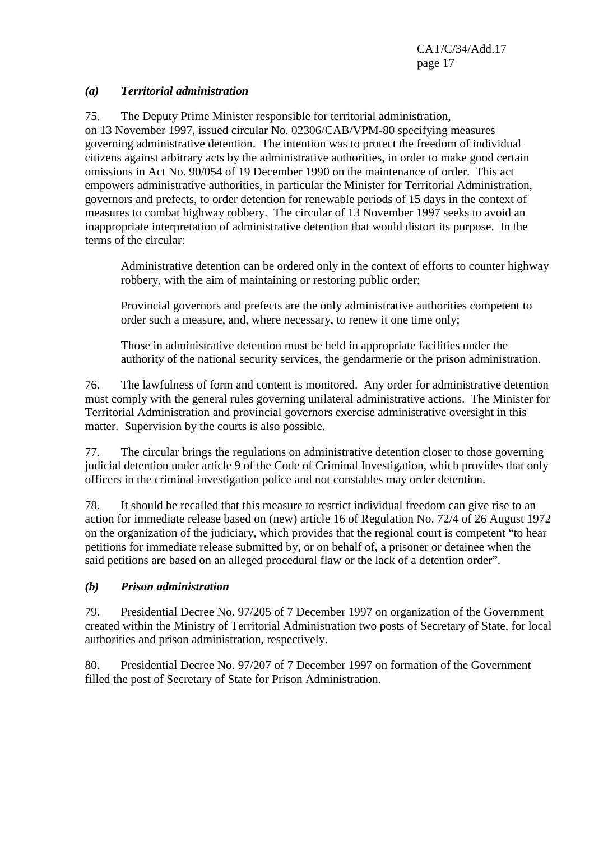#### *(a) Territorial administration*

75. The Deputy Prime Minister responsible for territorial administration, on 13 November 1997, issued circular No. 02306/CAB/VPM-80 specifying measures governing administrative detention. The intention was to protect the freedom of individual citizens against arbitrary acts by the administrative authorities, in order to make good certain omissions in Act No. 90/054 of 19 December 1990 on the maintenance of order. This act empowers administrative authorities, in particular the Minister for Territorial Administration, governors and prefects, to order detention for renewable periods of 15 days in the context of measures to combat highway robbery. The circular of 13 November 1997 seeks to avoid an inappropriate interpretation of administrative detention that would distort its purpose. In the terms of the circular:

 Administrative detention can be ordered only in the context of efforts to counter highway robbery, with the aim of maintaining or restoring public order;

 Provincial governors and prefects are the only administrative authorities competent to order such a measure, and, where necessary, to renew it one time only;

 Those in administrative detention must be held in appropriate facilities under the authority of the national security services, the gendarmerie or the prison administration.

76. The lawfulness of form and content is monitored. Any order for administrative detention must comply with the general rules governing unilateral administrative actions. The Minister for Territorial Administration and provincial governors exercise administrative oversight in this matter. Supervision by the courts is also possible.

77. The circular brings the regulations on administrative detention closer to those governing judicial detention under article 9 of the Code of Criminal Investigation, which provides that only officers in the criminal investigation police and not constables may order detention.

78. It should be recalled that this measure to restrict individual freedom can give rise to an action for immediate release based on (new) article 16 of Regulation No. 72/4 of 26 August 1972 on the organization of the judiciary, which provides that the regional court is competent "to hear petitions for immediate release submitted by, or on behalf of, a prisoner or detainee when the said petitions are based on an alleged procedural flaw or the lack of a detention order".

## *(b) Prison administration*

79. Presidential Decree No. 97/205 of 7 December 1997 on organization of the Government created within the Ministry of Territorial Administration two posts of Secretary of State, for local authorities and prison administration, respectively.

80. Presidential Decree No. 97/207 of 7 December 1997 on formation of the Government filled the post of Secretary of State for Prison Administration.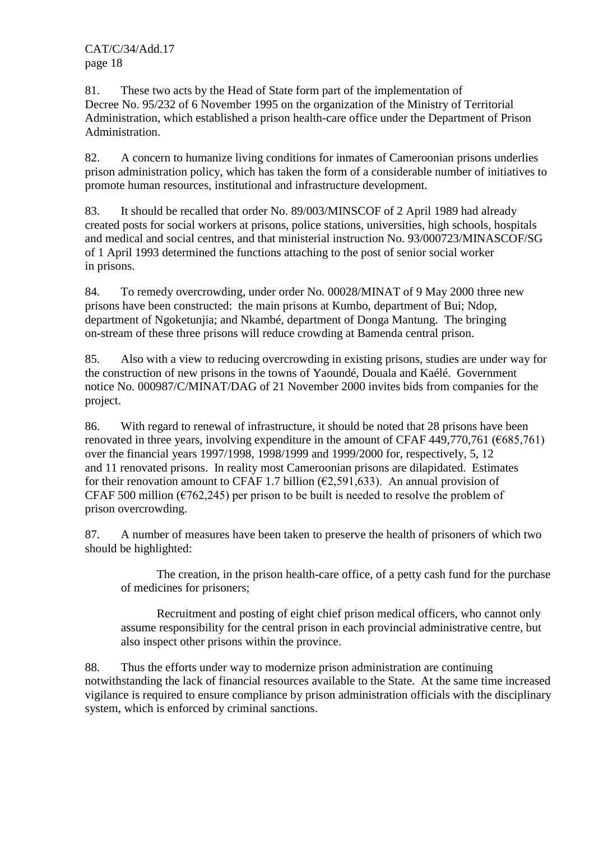81. These two acts by the Head of State form part of the implementation of Decree No. 95/232 of 6 November 1995 on the organization of the Ministry of Territorial Administration, which established a prison health-care office under the Department of Prison Administration.

82. A concern to humanize living conditions for inmates of Cameroonian prisons underlies prison administration policy, which has taken the form of a considerable number of initiatives to promote human resources, institutional and infrastructure development.

83. It should be recalled that order No. 89/003/MINSCOF of 2 April 1989 had already created posts for social workers at prisons, police stations, universities, high schools, hospitals and medical and social centres, and that ministerial instruction No. 93/000723/MINASCOF/SG of 1 April 1993 determined the functions attaching to the post of senior social worker in prisons.

84. To remedy overcrowding, under order No. 00028/MINAT of 9 May 2000 three new prisons have been constructed: the main prisons at Kumbo, department of Bui; Ndop, department of Ngoketunjia; and Nkambé, department of Donga Mantung. The bringing on-stream of these three prisons will reduce crowding at Bamenda central prison.

85. Also with a view to reducing overcrowding in existing prisons, studies are under way for the construction of new prisons in the towns of Yaoundé, Douala and Kaélé. Government notice No. 000987/C/MINAT/DAG of 21 November 2000 invites bids from companies for the project.

86. With regard to renewal of infrastructure, it should be noted that 28 prisons have been renovated in three years, involving expenditure in the amount of CFAF 449,770,761 ( $6685,761$ ) over the financial years 1997/1998, 1998/1999 and 1999/2000 for, respectively, 5, 12 and 11 renovated prisons. In reality most Cameroonian prisons are dilapidated. Estimates for their renovation amount to CFAF 1.7 billion ( $\epsilon$ 2,591,633). An annual provision of CFAF 500 million ( $\epsilon$ 762,245) per prison to be built is needed to resolve the problem of prison overcrowding.

87. A number of measures have been taken to preserve the health of prisoners of which two should be highlighted:

 The creation, in the prison health-care office, of a petty cash fund for the purchase of medicines for prisoners;

 Recruitment and posting of eight chief prison medical officers, who cannot only assume responsibility for the central prison in each provincial administrative centre, but also inspect other prisons within the province.

88. Thus the efforts under way to modernize prison administration are continuing notwithstanding the lack of financial resources available to the State. At the same time increased vigilance is required to ensure compliance by prison administration officials with the disciplinary system, which is enforced by criminal sanctions.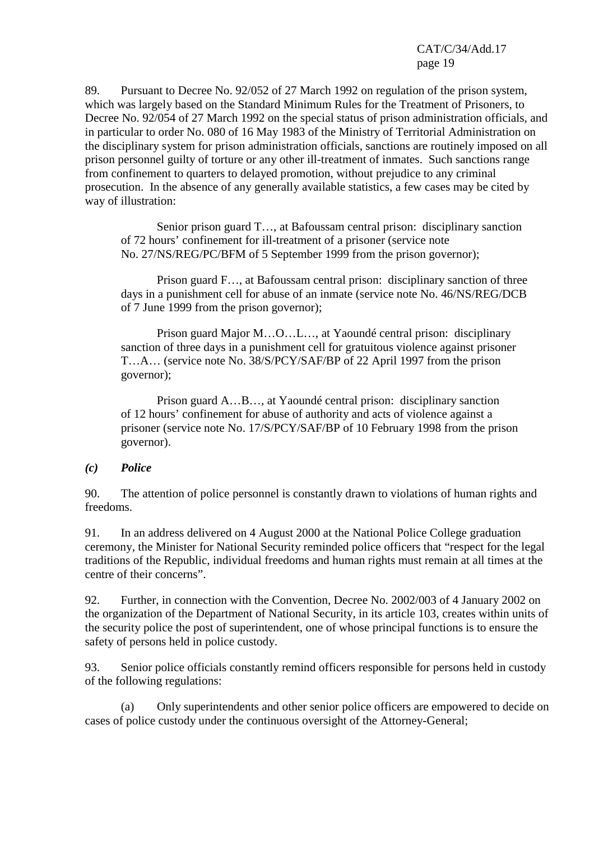89. Pursuant to Decree No. 92/052 of 27 March 1992 on regulation of the prison system, which was largely based on the Standard Minimum Rules for the Treatment of Prisoners, to Decree No. 92/054 of 27 March 1992 on the special status of prison administration officials, and in particular to order No. 080 of 16 May 1983 of the Ministry of Territorial Administration on the disciplinary system for prison administration officials, sanctions are routinely imposed on all prison personnel guilty of torture or any other ill-treatment of inmates. Such sanctions range from confinement to quarters to delayed promotion, without prejudice to any criminal prosecution. In the absence of any generally available statistics, a few cases may be cited by way of illustration:

 Senior prison guard T…, at Bafoussam central prison: disciplinary sanction of 72 hours' confinement for ill-treatment of a prisoner (service note No. 27/NS/REG/PC/BFM of 5 September 1999 from the prison governor);

 Prison guard F…, at Bafoussam central prison: disciplinary sanction of three days in a punishment cell for abuse of an inmate (service note No. 46/NS/REG/DCB of 7 June 1999 from the prison governor);

 Prison guard Major M…O…L…, at Yaoundé central prison: disciplinary sanction of three days in a punishment cell for gratuitous violence against prisoner T…A… (service note No. 38/S/PCY/SAF/BP of 22 April 1997 from the prison governor);

 Prison guard A…B…, at Yaoundé central prison: disciplinary sanction of 12 hours' confinement for abuse of authority and acts of violence against a prisoner (service note No. 17/S/PCY/SAF/BP of 10 February 1998 from the prison governor).

#### *(c) Police*

90. The attention of police personnel is constantly drawn to violations of human rights and freedoms.

91. In an address delivered on 4 August 2000 at the National Police College graduation ceremony, the Minister for National Security reminded police officers that "respect for the legal traditions of the Republic, individual freedoms and human rights must remain at all times at the centre of their concerns".

92. Further, in connection with the Convention, Decree No. 2002/003 of 4 January 2002 on the organization of the Department of National Security, in its article 103, creates within units of the security police the post of superintendent, one of whose principal functions is to ensure the safety of persons held in police custody.

93. Senior police officials constantly remind officers responsible for persons held in custody of the following regulations:

 (a) Only superintendents and other senior police officers are empowered to decide on cases of police custody under the continuous oversight of the Attorney-General;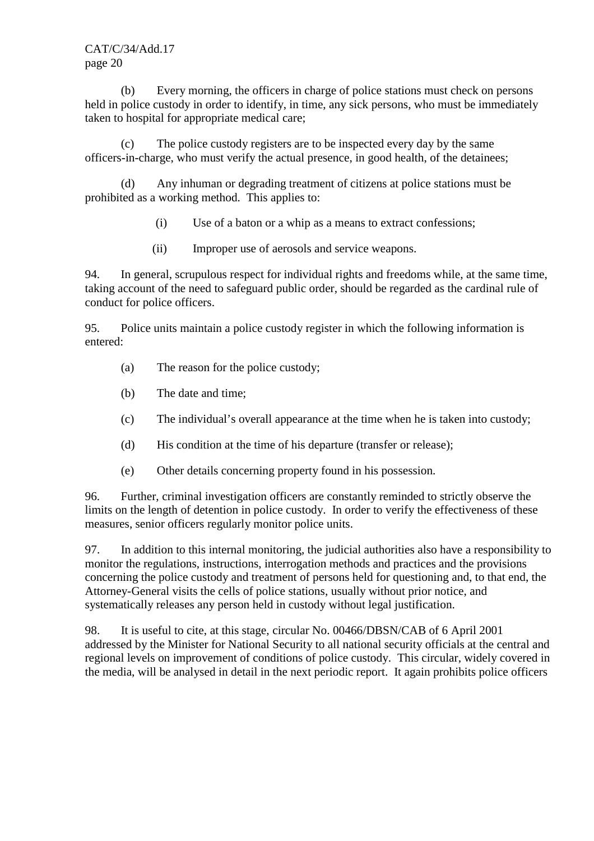(b) Every morning, the officers in charge of police stations must check on persons held in police custody in order to identify, in time, any sick persons, who must be immediately taken to hospital for appropriate medical care;

 (c) The police custody registers are to be inspected every day by the same officers-in-charge, who must verify the actual presence, in good health, of the detainees;

 (d) Any inhuman or degrading treatment of citizens at police stations must be prohibited as a working method. This applies to:

- (i) Use of a baton or a whip as a means to extract confessions;
- (ii) Improper use of aerosols and service weapons.

94. In general, scrupulous respect for individual rights and freedoms while, at the same time, taking account of the need to safeguard public order, should be regarded as the cardinal rule of conduct for police officers.

95. Police units maintain a police custody register in which the following information is entered:

- (a) The reason for the police custody;
- (b) The date and time;
- (c) The individual's overall appearance at the time when he is taken into custody;
- (d) His condition at the time of his departure (transfer or release);
- (e) Other details concerning property found in his possession.

96. Further, criminal investigation officers are constantly reminded to strictly observe the limits on the length of detention in police custody. In order to verify the effectiveness of these measures, senior officers regularly monitor police units.

97. In addition to this internal monitoring, the judicial authorities also have a responsibility to monitor the regulations, instructions, interrogation methods and practices and the provisions concerning the police custody and treatment of persons held for questioning and, to that end, the Attorney-General visits the cells of police stations, usually without prior notice, and systematically releases any person held in custody without legal justification.

98. It is useful to cite, at this stage, circular No. 00466/DBSN/CAB of 6 April 2001 addressed by the Minister for National Security to all national security officials at the central and regional levels on improvement of conditions of police custody. This circular, widely covered in the media, will be analysed in detail in the next periodic report. It again prohibits police officers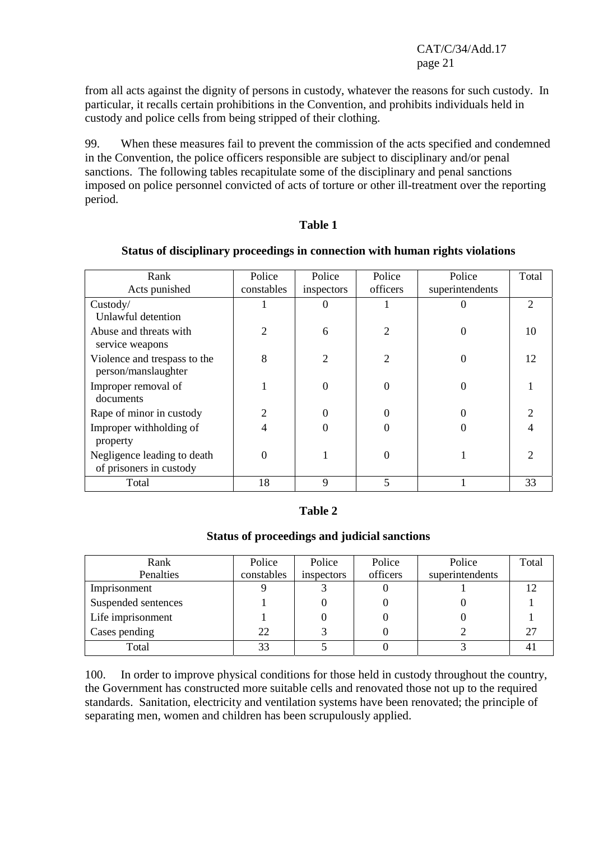from all acts against the dignity of persons in custody, whatever the reasons for such custody. In particular, it recalls certain prohibitions in the Convention, and prohibits individuals held in custody and police cells from being stripped of their clothing.

99. When these measures fail to prevent the commission of the acts specified and condemned in the Convention, the police officers responsible are subject to disciplinary and/or penal sanctions. The following tables recapitulate some of the disciplinary and penal sanctions imposed on police personnel convicted of acts of torture or other ill-treatment over the reporting period.

#### **Table 1**

| Rank                                                   | Police         | Police         | Police         | Police          | Total                       |
|--------------------------------------------------------|----------------|----------------|----------------|-----------------|-----------------------------|
| Acts punished                                          | constables     | inspectors     | officers       | superintendents |                             |
| Custody/                                               |                | $\theta$       |                | 0               | $\mathcal{D}_{\mathcal{L}}$ |
| Unlawful detention                                     |                |                |                |                 |                             |
| Abuse and threats with                                 | $\overline{2}$ | 6              | $\overline{2}$ | $\overline{0}$  | 10                          |
| service weapons                                        |                |                |                |                 |                             |
| Violence and trespass to the<br>person/manslaughter    | 8              | $\overline{2}$ | $\overline{2}$ | 0               | 12                          |
| Improper removal of<br>documents                       |                | $\theta$       | $\overline{0}$ | 0               |                             |
|                                                        |                |                |                |                 |                             |
| Rape of minor in custody                               | 2              | 0              | 0              | 0               |                             |
| Improper withholding of                                | 4              | 0              | 0              | 0               |                             |
| property                                               |                |                |                |                 |                             |
| Negligence leading to death<br>of prisoners in custody | $\overline{0}$ |                | 0              |                 | っ                           |
| Total                                                  | 18             | 9              | 5              |                 | 33                          |

#### **Status of disciplinary proceedings in connection with human rights violations**

#### **Table 2**

#### **Status of proceedings and judicial sanctions**

| Rank                | Police     | Police     | Police   | Police          | Total |
|---------------------|------------|------------|----------|-----------------|-------|
| Penalties           | constables | inspectors | officers | superintendents |       |
| Imprisonment        |            |            |          |                 |       |
| Suspended sentences |            |            |          |                 |       |
| Life imprisonment   |            |            |          |                 |       |
| Cases pending       | 22         |            |          |                 |       |
| Total               | 33         |            |          |                 |       |

100. In order to improve physical conditions for those held in custody throughout the country, the Government has constructed more suitable cells and renovated those not up to the required standards. Sanitation, electricity and ventilation systems have been renovated; the principle of separating men, women and children has been scrupulously applied.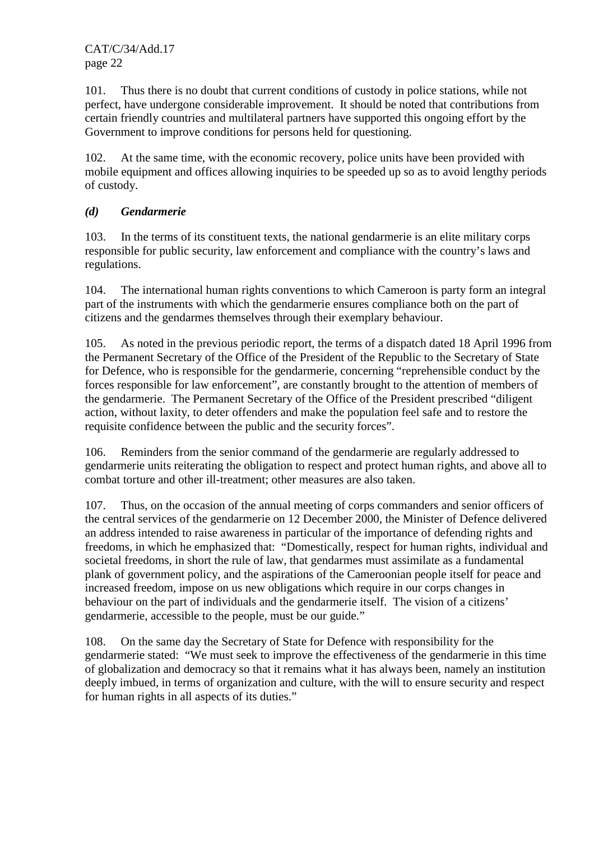101. Thus there is no doubt that current conditions of custody in police stations, while not perfect, have undergone considerable improvement. It should be noted that contributions from certain friendly countries and multilateral partners have supported this ongoing effort by the Government to improve conditions for persons held for questioning.

102. At the same time, with the economic recovery, police units have been provided with mobile equipment and offices allowing inquiries to be speeded up so as to avoid lengthy periods of custody.

## *(d) Gendarmerie*

103. In the terms of its constituent texts, the national gendarmerie is an elite military corps responsible for public security, law enforcement and compliance with the country's laws and regulations.

104. The international human rights conventions to which Cameroon is party form an integral part of the instruments with which the gendarmerie ensures compliance both on the part of citizens and the gendarmes themselves through their exemplary behaviour.

105. As noted in the previous periodic report, the terms of a dispatch dated 18 April 1996 from the Permanent Secretary of the Office of the President of the Republic to the Secretary of State for Defence, who is responsible for the gendarmerie, concerning "reprehensible conduct by the forces responsible for law enforcement", are constantly brought to the attention of members of the gendarmerie. The Permanent Secretary of the Office of the President prescribed "diligent action, without laxity, to deter offenders and make the population feel safe and to restore the requisite confidence between the public and the security forces".

106. Reminders from the senior command of the gendarmerie are regularly addressed to gendarmerie units reiterating the obligation to respect and protect human rights, and above all to combat torture and other ill-treatment; other measures are also taken.

107. Thus, on the occasion of the annual meeting of corps commanders and senior officers of the central services of the gendarmerie on 12 December 2000, the Minister of Defence delivered an address intended to raise awareness in particular of the importance of defending rights and freedoms, in which he emphasized that: "Domestically, respect for human rights, individual and societal freedoms, in short the rule of law, that gendarmes must assimilate as a fundamental plank of government policy, and the aspirations of the Cameroonian people itself for peace and increased freedom, impose on us new obligations which require in our corps changes in behaviour on the part of individuals and the gendarmerie itself. The vision of a citizens' gendarmerie, accessible to the people, must be our guide."

108. On the same day the Secretary of State for Defence with responsibility for the gendarmerie stated: "We must seek to improve the effectiveness of the gendarmerie in this time of globalization and democracy so that it remains what it has always been, namely an institution deeply imbued, in terms of organization and culture, with the will to ensure security and respect for human rights in all aspects of its duties."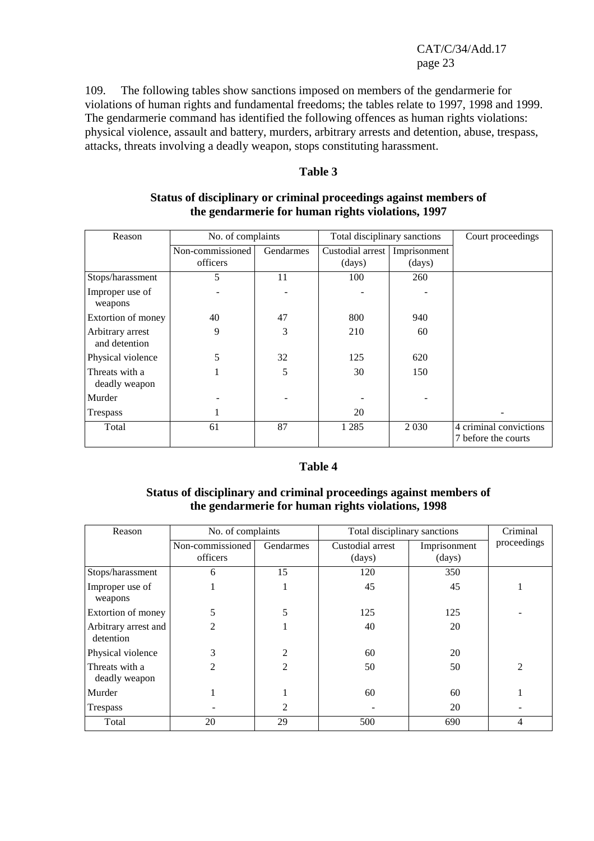109. The following tables show sanctions imposed on members of the gendarmerie for violations of human rights and fundamental freedoms; the tables relate to 1997, 1998 and 1999. The gendarmerie command has identified the following offences as human rights violations: physical violence, assault and battery, murders, arbitrary arrests and detention, abuse, trespass, attacks, threats involving a deadly weapon, stops constituting harassment.

#### **Table 3**

| Reason                            | No. of complaints |           | Total disciplinary sanctions |              | Court proceedings      |
|-----------------------------------|-------------------|-----------|------------------------------|--------------|------------------------|
|                                   | Non-commissioned  | Gendarmes | Custodial arrest             | Imprisonment |                        |
|                                   | officers          |           | (days)                       | (days)       |                        |
| Stops/harassment                  | 5                 | 11        | 100                          | 260          |                        |
| Improper use of<br>weapons        |                   |           |                              |              |                        |
| Extortion of money                | 40                | 47        | 800                          | 940          |                        |
| Arbitrary arrest<br>and detention | 9                 | 3         | 210                          | 60           |                        |
| Physical violence                 | 5                 | 32        | 125                          | 620          |                        |
| Threats with a<br>deadly weapon   |                   | 5         | 30                           | 150          |                        |
| Murder                            |                   |           |                              |              |                        |
| Trespass                          |                   |           | 20                           |              |                        |
| Total                             | 61                | 87        | 1 2 8 5                      | 2 0 3 0      | 4 criminal convictions |
|                                   |                   |           |                              |              | 7 before the courts    |

#### **Status of disciplinary or criminal proceedings against members of the gendarmerie for human rights violations, 1997**

#### **Table 4**

#### **Status of disciplinary and criminal proceedings against members of the gendarmerie for human rights violations, 1998**

| Reason                            | No. of complaints            |                | Total disciplinary sanctions | Criminal               |                |
|-----------------------------------|------------------------------|----------------|------------------------------|------------------------|----------------|
|                                   | Non-commissioned<br>officers | Gendarmes      | Custodial arrest<br>(days)   | Imprisonment<br>(days) | proceedings    |
| Stops/harassment                  | 6                            | 15             | 120                          | 350                    |                |
| Improper use of<br>weapons        |                              |                | 45                           | 45                     |                |
| Extortion of money                | 5                            | 5              | 125                          | 125                    |                |
| Arbitrary arrest and<br>detention | 2                            |                | 40                           | 20                     |                |
| Physical violence                 | 3                            | 2              | 60                           | 20                     |                |
| Threats with a<br>deadly weapon   | $\mathfrak{D}$               | $\overline{2}$ | 50                           | 50                     | $\overline{2}$ |
| Murder                            |                              |                | 60                           | 60                     |                |
| Trespass                          |                              | 2              |                              | 20                     |                |
| Total                             | 20                           | 29             | 500                          | 690                    | 4              |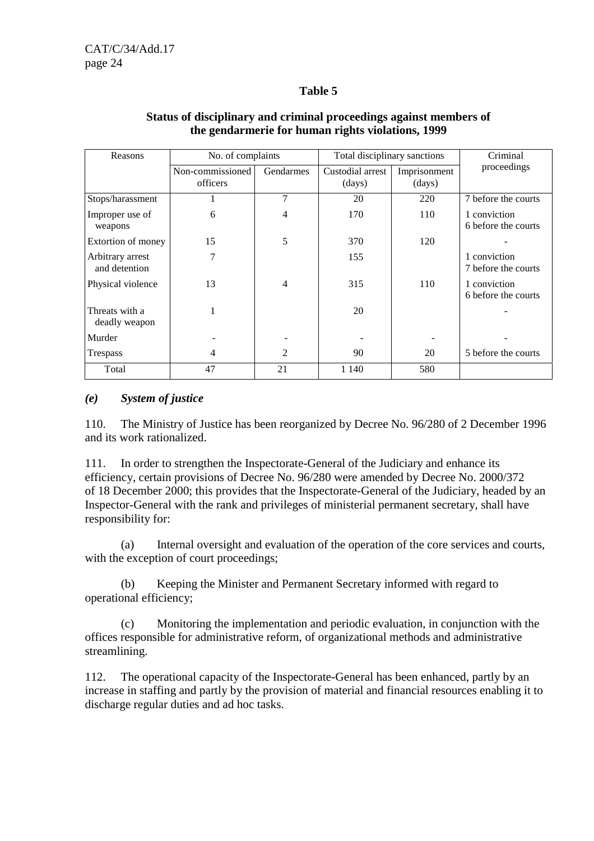## **Table 5**

| Reasons            | No. of complaints |           | Total disciplinary sanctions | Criminal     |                     |
|--------------------|-------------------|-----------|------------------------------|--------------|---------------------|
|                    | Non-commissioned  | Gendarmes | Custodial arrest             | Imprisonment | proceedings         |
|                    | officers          |           | (days)                       | (days)       |                     |
| Stops/harassment   |                   | 7         | 20                           | 220          | 7 before the courts |
| Improper use of    | 6                 | 4         | 170                          | 110          | 1 conviction        |
| weapons            |                   |           |                              |              | 6 before the courts |
| Extortion of money | 15                | 5         | 370                          | 120          |                     |
| Arbitrary arrest   | 7                 |           | 155                          |              | 1 conviction        |
| and detention      |                   |           |                              |              | 7 before the courts |
| Physical violence  | 13                | 4         | 315                          | 110          | 1 conviction        |
|                    |                   |           |                              |              | 6 before the courts |
| Threats with a     |                   |           | 20                           |              |                     |
| deadly weapon      |                   |           |                              |              |                     |
| Murder             |                   |           |                              |              |                     |
| Trespass           | 4                 | 2         | 90                           | 20           | 5 before the courts |
| Total              | 47                | 21        | 1 1 4 0                      | 580          |                     |

## **Status of disciplinary and criminal proceedings against members of the gendarmerie for human rights violations, 1999**

## *(e) System of justice*

110. The Ministry of Justice has been reorganized by Decree No. 96/280 of 2 December 1996 and its work rationalized.

111. In order to strengthen the Inspectorate-General of the Judiciary and enhance its efficiency, certain provisions of Decree No. 96/280 were amended by Decree No. 2000/372 of 18 December 2000; this provides that the Inspectorate-General of the Judiciary, headed by an Inspector-General with the rank and privileges of ministerial permanent secretary, shall have responsibility for:

 (a) Internal oversight and evaluation of the operation of the core services and courts, with the exception of court proceedings;

 (b) Keeping the Minister and Permanent Secretary informed with regard to operational efficiency;

 (c) Monitoring the implementation and periodic evaluation, in conjunction with the offices responsible for administrative reform, of organizational methods and administrative streamlining.

112. The operational capacity of the Inspectorate-General has been enhanced, partly by an increase in staffing and partly by the provision of material and financial resources enabling it to discharge regular duties and ad hoc tasks.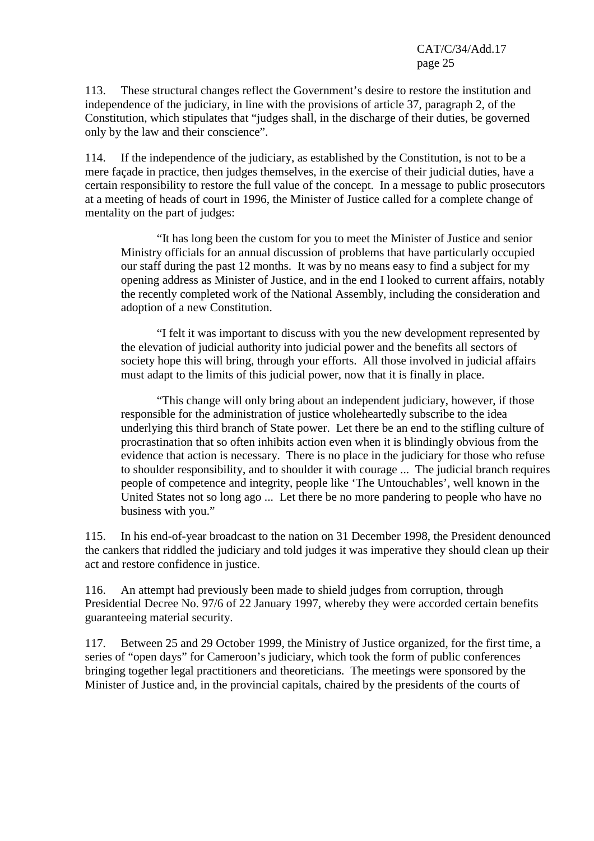113. These structural changes reflect the Government's desire to restore the institution and independence of the judiciary, in line with the provisions of article 37, paragraph 2, of the Constitution, which stipulates that "judges shall, in the discharge of their duties, be governed only by the law and their conscience".

114. If the independence of the judiciary, as established by the Constitution, is not to be a mere façade in practice, then judges themselves, in the exercise of their judicial duties, have a certain responsibility to restore the full value of the concept. In a message to public prosecutors at a meeting of heads of court in 1996, the Minister of Justice called for a complete change of mentality on the part of judges:

 "It has long been the custom for you to meet the Minister of Justice and senior Ministry officials for an annual discussion of problems that have particularly occupied our staff during the past 12 months. It was by no means easy to find a subject for my opening address as Minister of Justice, and in the end I looked to current affairs, notably the recently completed work of the National Assembly, including the consideration and adoption of a new Constitution.

 "I felt it was important to discuss with you the new development represented by the elevation of judicial authority into judicial power and the benefits all sectors of society hope this will bring, through your efforts. All those involved in judicial affairs must adapt to the limits of this judicial power, now that it is finally in place.

 "This change will only bring about an independent judiciary, however, if those responsible for the administration of justice wholeheartedly subscribe to the idea underlying this third branch of State power. Let there be an end to the stifling culture of procrastination that so often inhibits action even when it is blindingly obvious from the evidence that action is necessary. There is no place in the judiciary for those who refuse to shoulder responsibility, and to shoulder it with courage ... The judicial branch requires people of competence and integrity, people like 'The Untouchables', well known in the United States not so long ago ... Let there be no more pandering to people who have no business with you."

115. In his end-of-year broadcast to the nation on 31 December 1998, the President denounced the cankers that riddled the judiciary and told judges it was imperative they should clean up their act and restore confidence in justice.

116. An attempt had previously been made to shield judges from corruption, through Presidential Decree No. 97/6 of 22 January 1997, whereby they were accorded certain benefits guaranteeing material security.

117. Between 25 and 29 October 1999, the Ministry of Justice organized, for the first time, a series of "open days" for Cameroon's judiciary, which took the form of public conferences bringing together legal practitioners and theoreticians. The meetings were sponsored by the Minister of Justice and, in the provincial capitals, chaired by the presidents of the courts of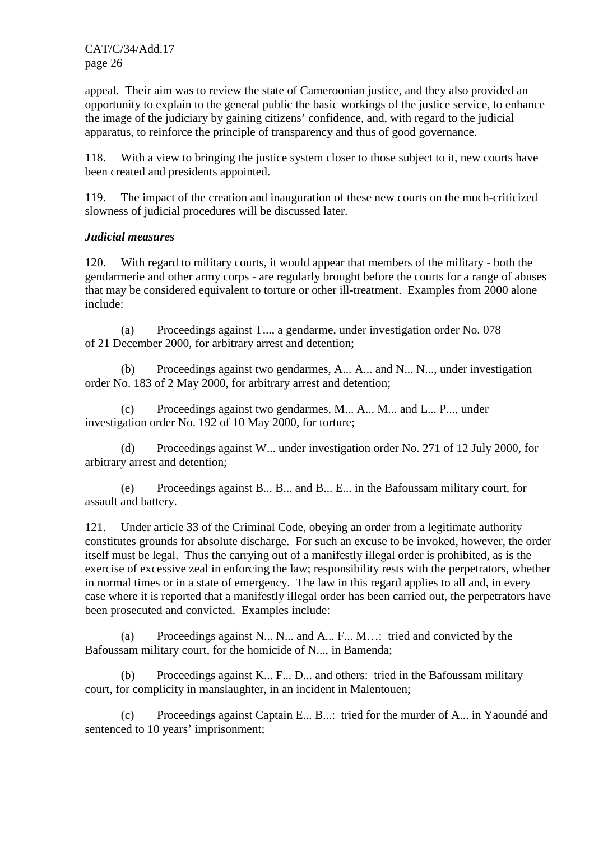appeal. Their aim was to review the state of Cameroonian justice, and they also provided an opportunity to explain to the general public the basic workings of the justice service, to enhance the image of the judiciary by gaining citizens' confidence, and, with regard to the judicial apparatus, to reinforce the principle of transparency and thus of good governance.

118. With a view to bringing the justice system closer to those subject to it, new courts have been created and presidents appointed.

119. The impact of the creation and inauguration of these new courts on the much-criticized slowness of judicial procedures will be discussed later.

## *Judicial measures*

120. With regard to military courts, it would appear that members of the military - both the gendarmerie and other army corps - are regularly brought before the courts for a range of abuses that may be considered equivalent to torture or other ill-treatment. Examples from 2000 alone include:

 (a) Proceedings against T..., a gendarme, under investigation order No. 078 of 21 December 2000, for arbitrary arrest and detention;

 (b) Proceedings against two gendarmes, A... A... and N... N..., under investigation order No. 183 of 2 May 2000, for arbitrary arrest and detention;

 (c) Proceedings against two gendarmes, M... A... M... and L... P..., under investigation order No. 192 of 10 May 2000, for torture;

 (d) Proceedings against W... under investigation order No. 271 of 12 July 2000, for arbitrary arrest and detention;

 (e) Proceedings against B... B... and B... E... in the Bafoussam military court, for assault and battery.

121. Under article 33 of the Criminal Code, obeying an order from a legitimate authority constitutes grounds for absolute discharge. For such an excuse to be invoked, however, the order itself must be legal. Thus the carrying out of a manifestly illegal order is prohibited, as is the exercise of excessive zeal in enforcing the law; responsibility rests with the perpetrators, whether in normal times or in a state of emergency. The law in this regard applies to all and, in every case where it is reported that a manifestly illegal order has been carried out, the perpetrators have been prosecuted and convicted. Examples include:

 (a) Proceedings against N... N... and A... F... M…: tried and convicted by the Bafoussam military court, for the homicide of N..., in Bamenda;

 (b) Proceedings against K... F... D... and others: tried in the Bafoussam military court, for complicity in manslaughter, in an incident in Malentouen;

 (c) Proceedings against Captain E... B...: tried for the murder of A... in Yaoundé and sentenced to 10 years' imprisonment;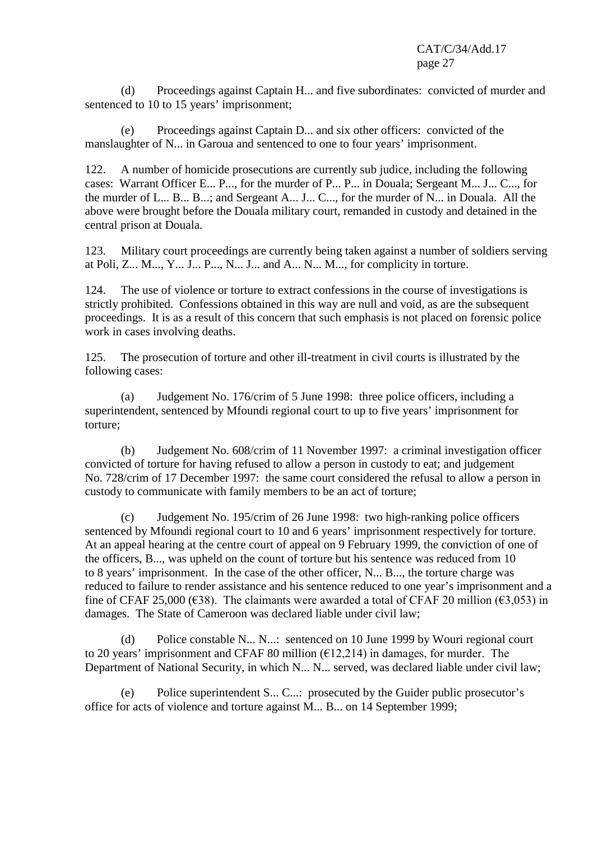(d) Proceedings against Captain H... and five subordinates: convicted of murder and sentenced to 10 to 15 years' imprisonment;

 (e) Proceedings against Captain D... and six other officers: convicted of the manslaughter of N... in Garoua and sentenced to one to four years' imprisonment.

122. A number of homicide prosecutions are currently sub judice, including the following cases: Warrant Officer E... P..., for the murder of P... P... in Douala; Sergeant M... J... C..., for the murder of L... B... B...; and Sergeant A... J... C..., for the murder of N... in Douala. All the above were brought before the Douala military court, remanded in custody and detained in the central prison at Douala.

123. Military court proceedings are currently being taken against a number of soldiers serving at Poli, Z... M..., Y... J... P..., N... J... and A... N... M..., for complicity in torture.

124. The use of violence or torture to extract confessions in the course of investigations is strictly prohibited. Confessions obtained in this way are null and void, as are the subsequent proceedings. It is as a result of this concern that such emphasis is not placed on forensic police work in cases involving deaths.

125. The prosecution of torture and other ill-treatment in civil courts is illustrated by the following cases:

 (a) Judgement No. 176/crim of 5 June 1998: three police officers, including a superintendent, sentenced by Mfoundi regional court to up to five years' imprisonment for torture;

 (b) Judgement No. 608/crim of 11 November 1997: a criminal investigation officer convicted of torture for having refused to allow a person in custody to eat; and judgement No. 728/crim of 17 December 1997: the same court considered the refusal to allow a person in custody to communicate with family members to be an act of torture;

 (c) Judgement No. 195/crim of 26 June 1998: two high-ranking police officers sentenced by Mfoundi regional court to 10 and 6 years' imprisonment respectively for torture. At an appeal hearing at the centre court of appeal on 9 February 1999, the conviction of one of the officers, B..., was upheld on the count of torture but his sentence was reduced from 10 to 8 years' imprisonment. In the case of the other officer, N... B..., the torture charge was reduced to failure to render assistance and his sentence reduced to one year's imprisonment and a fine of CFAF 25,000 ( $\epsilon$ 38). The claimants were awarded a total of CFAF 20 million ( $\epsilon$ 3,053) in damages. The State of Cameroon was declared liable under civil law;

 (d) Police constable N... N...: sentenced on 10 June 1999 by Wouri regional court to 20 years' imprisonment and CFAF 80 million  $(\text{\textsterling}12,214)$  in damages, for murder. The Department of National Security, in which N... N... served, was declared liable under civil law;

 (e) Police superintendent S... C...: prosecuted by the Guider public prosecutor's office for acts of violence and torture against M... B... on 14 September 1999;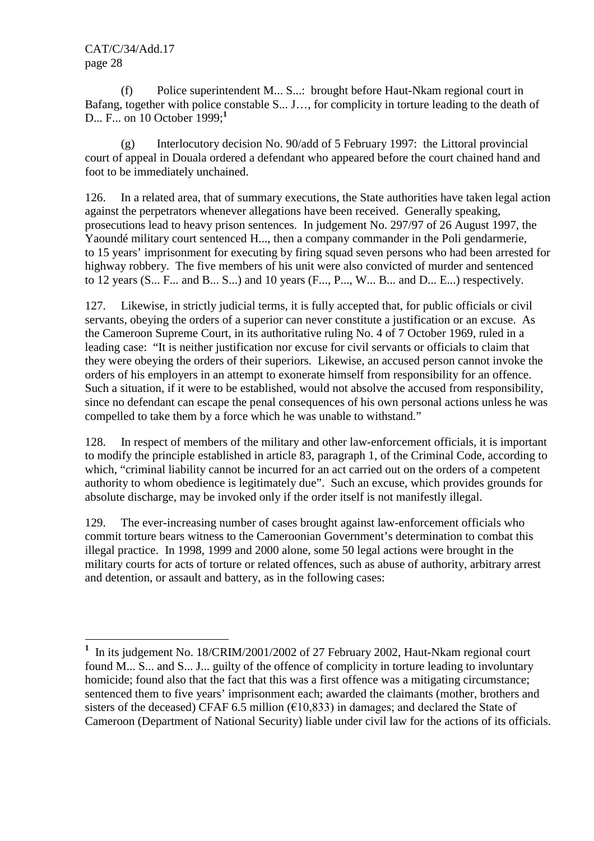$\overline{a}$ 

 (f) Police superintendent M... S...: brought before Haut-Nkam regional court in Bafang, together with police constable S... J…, for complicity in torture leading to the death of D... F... on 10 October 1999;**<sup>1</sup>**

 (g) Interlocutory decision No. 90/add of 5 February 1997: the Littoral provincial court of appeal in Douala ordered a defendant who appeared before the court chained hand and foot to be immediately unchained.

126. In a related area, that of summary executions, the State authorities have taken legal action against the perpetrators whenever allegations have been received. Generally speaking, prosecutions lead to heavy prison sentences. In judgement No. 297/97 of 26 August 1997, the Yaoundé military court sentenced H..., then a company commander in the Poli gendarmerie, to 15 years' imprisonment for executing by firing squad seven persons who had been arrested for highway robbery. The five members of his unit were also convicted of murder and sentenced to 12 years  $(S_{\dots}, F_{\dots}$  and B $\dots$ , S $\dots$ ) and 10 years  $(F_{\dots}, P_{\dots}, W_{\dots}, B_{\dots}$  and D $\dots$ , E $\dots$ ) respectively.

127. Likewise, in strictly judicial terms, it is fully accepted that, for public officials or civil servants, obeying the orders of a superior can never constitute a justification or an excuse. As the Cameroon Supreme Court, in its authoritative ruling No. 4 of 7 October 1969, ruled in a leading case: "It is neither justification nor excuse for civil servants or officials to claim that they were obeying the orders of their superiors. Likewise, an accused person cannot invoke the orders of his employers in an attempt to exonerate himself from responsibility for an offence. Such a situation, if it were to be established, would not absolve the accused from responsibility, since no defendant can escape the penal consequences of his own personal actions unless he was compelled to take them by a force which he was unable to withstand."

128. In respect of members of the military and other law-enforcement officials, it is important to modify the principle established in article 83, paragraph 1, of the Criminal Code, according to which, "criminal liability cannot be incurred for an act carried out on the orders of a competent authority to whom obedience is legitimately due". Such an excuse, which provides grounds for absolute discharge, may be invoked only if the order itself is not manifestly illegal.

129. The ever-increasing number of cases brought against law-enforcement officials who commit torture bears witness to the Cameroonian Government's determination to combat this illegal practice. In 1998, 1999 and 2000 alone, some 50 legal actions were brought in the military courts for acts of torture or related offences, such as abuse of authority, arbitrary arrest and detention, or assault and battery, as in the following cases:

<sup>&</sup>lt;sup>1</sup> In its judgement No. 18/CRIM/2001/2002 of 27 February 2002, Haut-Nkam regional court found M... S... and S... J... guilty of the offence of complicity in torture leading to involuntary homicide; found also that the fact that this was a first offence was a mitigating circumstance; sentenced them to five years' imprisonment each; awarded the claimants (mother, brothers and sisters of the deceased) CFAF 6.5 million ( $\epsilon$ 10,833) in damages; and declared the State of Cameroon (Department of National Security) liable under civil law for the actions of its officials.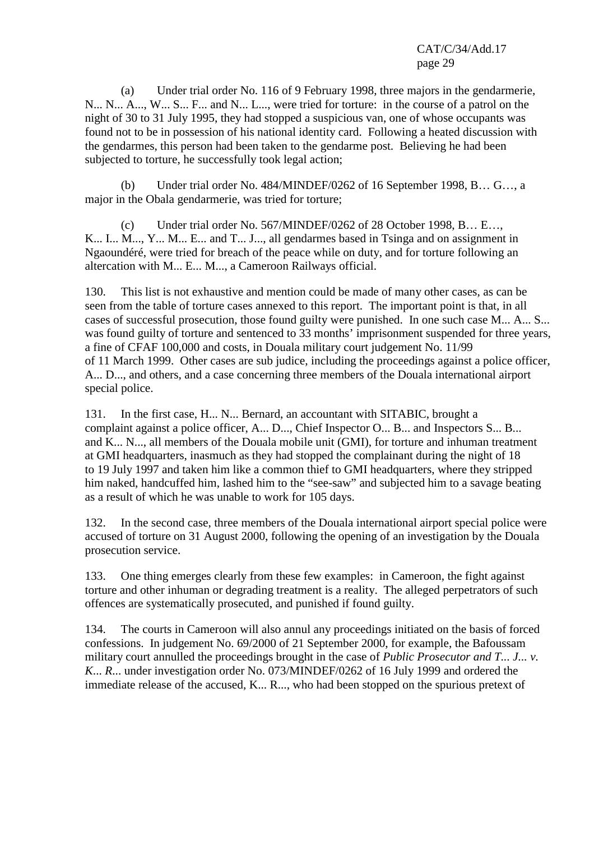(a) Under trial order No. 116 of 9 February 1998, three majors in the gendarmerie, N... N... A..., W... S... F... and N... L..., were tried for torture: in the course of a patrol on the night of 30 to 31 July 1995, they had stopped a suspicious van, one of whose occupants was found not to be in possession of his national identity card. Following a heated discussion with the gendarmes, this person had been taken to the gendarme post. Believing he had been subjected to torture, he successfully took legal action;

 (b) Under trial order No. 484/MINDEF/0262 of 16 September 1998, B… G…, a major in the Obala gendarmerie, was tried for torture;

 (c) Under trial order No. 567/MINDEF/0262 of 28 October 1998, B… E…, K... I... M..., Y... M... E... and T... J..., all gendarmes based in Tsinga and on assignment in Ngaoundéré, were tried for breach of the peace while on duty, and for torture following an altercation with M... E... M..., a Cameroon Railways official.

130. This list is not exhaustive and mention could be made of many other cases, as can be seen from the table of torture cases annexed to this report. The important point is that, in all cases of successful prosecution, those found guilty were punished. In one such case M... A... S... was found guilty of torture and sentenced to 33 months' imprisonment suspended for three years, a fine of CFAF 100,000 and costs, in Douala military court judgement No. 11/99 of 11 March 1999. Other cases are sub judice, including the proceedings against a police officer, A... D..., and others, and a case concerning three members of the Douala international airport special police.

131. In the first case, H... N... Bernard, an accountant with SITABIC, brought a complaint against a police officer, A... D..., Chief Inspector O... B... and Inspectors S... B... and K... N..., all members of the Douala mobile unit (GMI), for torture and inhuman treatment at GMI headquarters, inasmuch as they had stopped the complainant during the night of 18 to 19 July 1997 and taken him like a common thief to GMI headquarters, where they stripped him naked, handcuffed him, lashed him to the "see-saw" and subjected him to a savage beating as a result of which he was unable to work for 105 days.

132. In the second case, three members of the Douala international airport special police were accused of torture on 31 August 2000, following the opening of an investigation by the Douala prosecution service.

133. One thing emerges clearly from these few examples: in Cameroon, the fight against torture and other inhuman or degrading treatment is a reality. The alleged perpetrators of such offences are systematically prosecuted, and punished if found guilty.

134. The courts in Cameroon will also annul any proceedings initiated on the basis of forced confessions. In judgement No. 69/2000 of 21 September 2000, for example, the Bafoussam military court annulled the proceedings brought in the case of *Public Prosecutor and T... J... v. K*... *R*... under investigation order No. 073/MINDEF/0262 of 16 July 1999 and ordered the immediate release of the accused, K... R..., who had been stopped on the spurious pretext of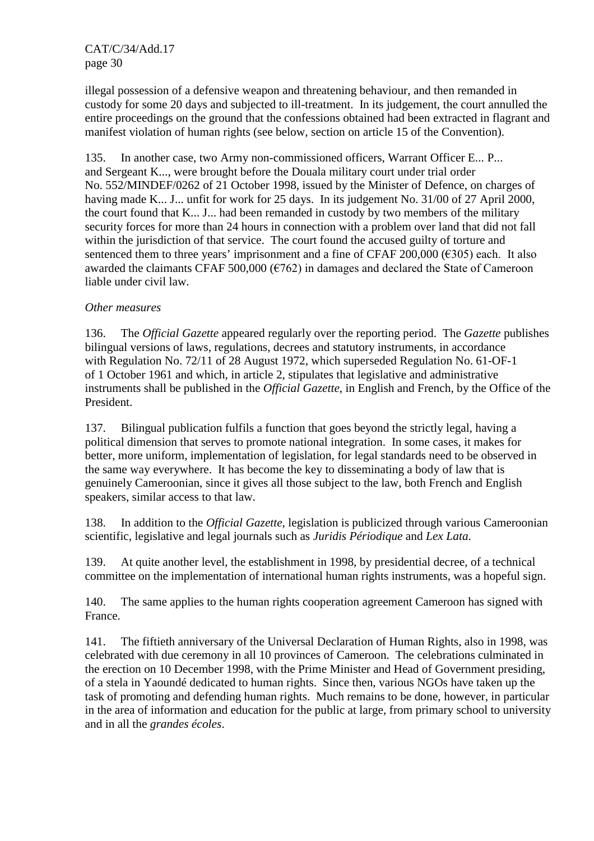illegal possession of a defensive weapon and threatening behaviour, and then remanded in custody for some 20 days and subjected to ill-treatment. In its judgement, the court annulled the entire proceedings on the ground that the confessions obtained had been extracted in flagrant and manifest violation of human rights (see below, section on article 15 of the Convention).

135. In another case, two Army non-commissioned officers, Warrant Officer E... P... and Sergeant K..., were brought before the Douala military court under trial order No. 552/MINDEF/0262 of 21 October 1998, issued by the Minister of Defence, on charges of having made K... J... unfit for work for 25 days. In its judgement No. 31/00 of 27 April 2000, the court found that K... J... had been remanded in custody by two members of the military security forces for more than 24 hours in connection with a problem over land that did not fall within the jurisdiction of that service. The court found the accused guilty of torture and sentenced them to three years' imprisonment and a fine of CFAF 200,000 ( $\epsilon$ 305) each. It also awarded the claimants CFAF 500,000 ( $\epsilon$ 762) in damages and declared the State of Cameroon liable under civil law.

## *Other measures*

136. The *Official Gazette* appeared regularly over the reporting period. The *Gazette* publishes bilingual versions of laws, regulations, decrees and statutory instruments, in accordance with Regulation No. 72/11 of 28 August 1972, which superseded Regulation No. 61-OF-1 of 1 October 1961 and which, in article 2, stipulates that legislative and administrative instruments shall be published in the *Official Gazette*, in English and French, by the Office of the President.

137. Bilingual publication fulfils a function that goes beyond the strictly legal, having a political dimension that serves to promote national integration. In some cases, it makes for better, more uniform, implementation of legislation, for legal standards need to be observed in the same way everywhere. It has become the key to disseminating a body of law that is genuinely Cameroonian, since it gives all those subject to the law, both French and English speakers, similar access to that law.

138. In addition to the *Official Gazette*, legislation is publicized through various Cameroonian scientific, legislative and legal journals such as *Juridis Périodique* and *Lex Lata*.

139. At quite another level, the establishment in 1998, by presidential decree, of a technical committee on the implementation of international human rights instruments, was a hopeful sign.

140. The same applies to the human rights cooperation agreement Cameroon has signed with France.

141. The fiftieth anniversary of the Universal Declaration of Human Rights, also in 1998, was celebrated with due ceremony in all 10 provinces of Cameroon. The celebrations culminated in the erection on 10 December 1998, with the Prime Minister and Head of Government presiding, of a stela in Yaoundé dedicated to human rights. Since then, various NGOs have taken up the task of promoting and defending human rights. Much remains to be done, however, in particular in the area of information and education for the public at large, from primary school to university and in all the *grandes écoles*.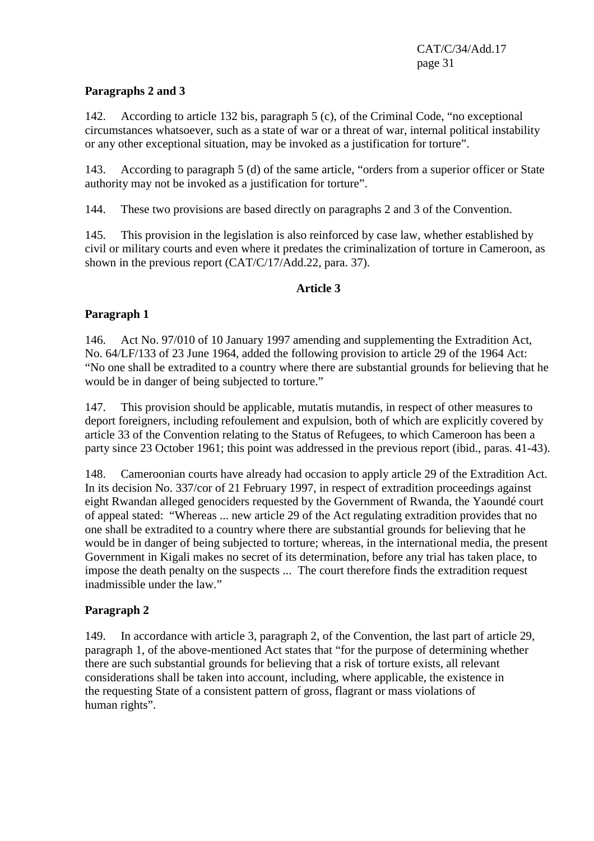## **Paragraphs 2 and 3**

142. According to article 132 bis, paragraph 5 (c), of the Criminal Code, "no exceptional circumstances whatsoever, such as a state of war or a threat of war, internal political instability or any other exceptional situation, may be invoked as a justification for torture".

143. According to paragraph 5 (d) of the same article, "orders from a superior officer or State authority may not be invoked as a justification for torture".

144. These two provisions are based directly on paragraphs 2 and 3 of the Convention.

145. This provision in the legislation is also reinforced by case law, whether established by civil or military courts and even where it predates the criminalization of torture in Cameroon, as shown in the previous report (CAT/C/17/Add.22, para. 37).

## **Article 3**

## **Paragraph 1**

146. Act No. 97/010 of 10 January 1997 amending and supplementing the Extradition Act, No. 64/LF/133 of 23 June 1964, added the following provision to article 29 of the 1964 Act: "No one shall be extradited to a country where there are substantial grounds for believing that he would be in danger of being subjected to torture."

147. This provision should be applicable, mutatis mutandis, in respect of other measures to deport foreigners, including refoulement and expulsion, both of which are explicitly covered by article 33 of the Convention relating to the Status of Refugees, to which Cameroon has been a party since 23 October 1961; this point was addressed in the previous report (ibid., paras. 41-43).

148. Cameroonian courts have already had occasion to apply article 29 of the Extradition Act. In its decision No. 337/cor of 21 February 1997, in respect of extradition proceedings against eight Rwandan alleged genociders requested by the Government of Rwanda, the Yaoundé court of appeal stated: "Whereas ... new article 29 of the Act regulating extradition provides that no one shall be extradited to a country where there are substantial grounds for believing that he would be in danger of being subjected to torture; whereas, in the international media, the present Government in Kigali makes no secret of its determination, before any trial has taken place, to impose the death penalty on the suspects ... The court therefore finds the extradition request inadmissible under the law."

## **Paragraph 2**

149. In accordance with article 3, paragraph 2, of the Convention, the last part of article 29, paragraph 1, of the above-mentioned Act states that "for the purpose of determining whether there are such substantial grounds for believing that a risk of torture exists, all relevant considerations shall be taken into account, including, where applicable, the existence in the requesting State of a consistent pattern of gross, flagrant or mass violations of human rights".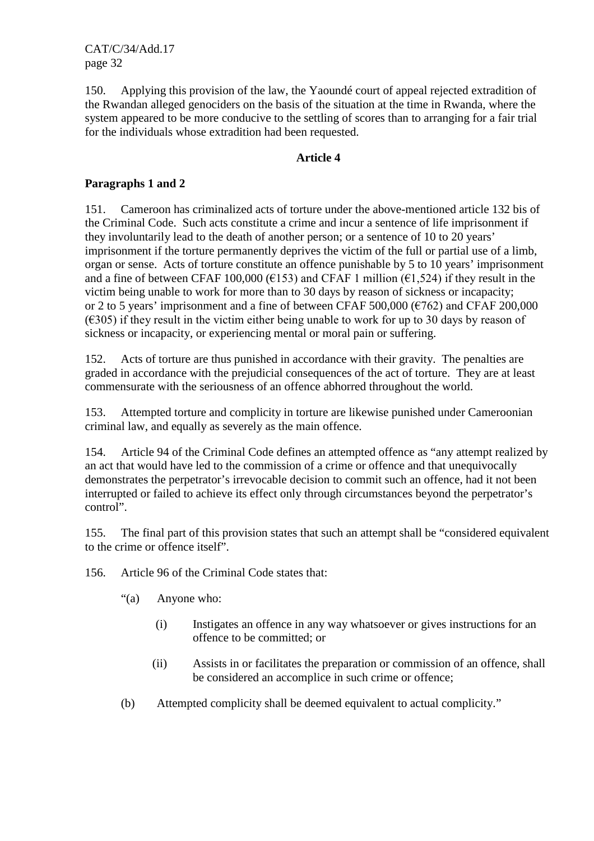150. Applying this provision of the law, the Yaoundé court of appeal rejected extradition of the Rwandan alleged genociders on the basis of the situation at the time in Rwanda, where the system appeared to be more conducive to the settling of scores than to arranging for a fair trial for the individuals whose extradition had been requested.

#### **Article 4**

## **Paragraphs 1 and 2**

151. Cameroon has criminalized acts of torture under the above-mentioned article 132 bis of the Criminal Code. Such acts constitute a crime and incur a sentence of life imprisonment if they involuntarily lead to the death of another person; or a sentence of 10 to 20 years' imprisonment if the torture permanently deprives the victim of the full or partial use of a limb, organ or sense. Acts of torture constitute an offence punishable by 5 to 10 years' imprisonment and a fine of between CFAF 100,000 ( $\epsilon$ 153) and CFAF 1 million ( $\epsilon$ 1,524) if they result in the victim being unable to work for more than to 30 days by reason of sickness or incapacity; or 2 to 5 years' imprisonment and a fine of between CFAF  $500,000$  ( $6762$ ) and CFAF 200,000  $(\epsilon$ 305) if they result in the victim either being unable to work for up to 30 days by reason of sickness or incapacity, or experiencing mental or moral pain or suffering.

152. Acts of torture are thus punished in accordance with their gravity. The penalties are graded in accordance with the prejudicial consequences of the act of torture. They are at least commensurate with the seriousness of an offence abhorred throughout the world.

153. Attempted torture and complicity in torture are likewise punished under Cameroonian criminal law, and equally as severely as the main offence.

154. Article 94 of the Criminal Code defines an attempted offence as "any attempt realized by an act that would have led to the commission of a crime or offence and that unequivocally demonstrates the perpetrator's irrevocable decision to commit such an offence, had it not been interrupted or failed to achieve its effect only through circumstances beyond the perpetrator's control".

155. The final part of this provision states that such an attempt shall be "considered equivalent to the crime or offence itself".

156. Article 96 of the Criminal Code states that:

- "(a) Anyone who:
	- (i) Instigates an offence in any way whatsoever or gives instructions for an offence to be committed; or
	- (ii) Assists in or facilitates the preparation or commission of an offence, shall be considered an accomplice in such crime or offence;
- (b) Attempted complicity shall be deemed equivalent to actual complicity."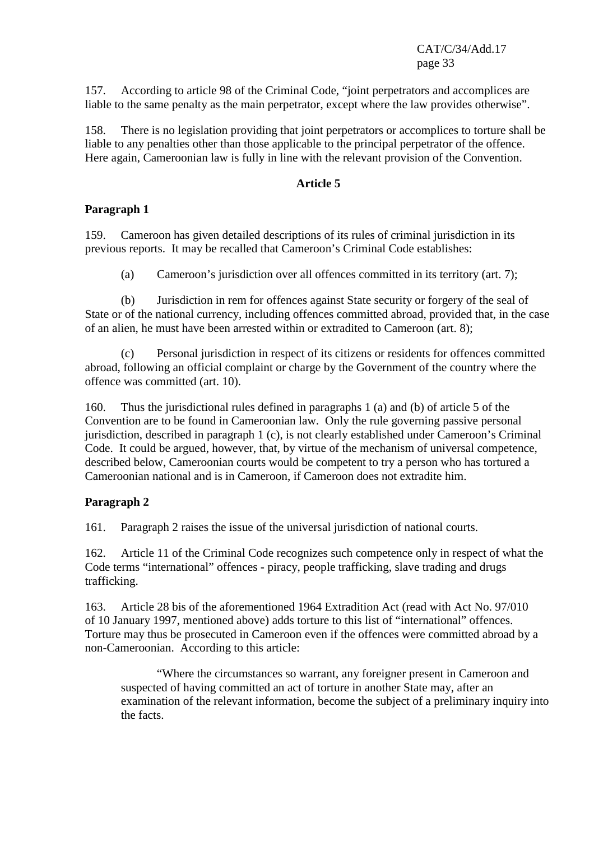157. According to article 98 of the Criminal Code, "joint perpetrators and accomplices are liable to the same penalty as the main perpetrator, except where the law provides otherwise".

158. There is no legislation providing that joint perpetrators or accomplices to torture shall be liable to any penalties other than those applicable to the principal perpetrator of the offence. Here again, Cameroonian law is fully in line with the relevant provision of the Convention.

#### **Article 5**

## **Paragraph 1**

159. Cameroon has given detailed descriptions of its rules of criminal jurisdiction in its previous reports. It may be recalled that Cameroon's Criminal Code establishes:

(a) Cameroon's jurisdiction over all offences committed in its territory (art. 7);

 (b) Jurisdiction in rem for offences against State security or forgery of the seal of State or of the national currency, including offences committed abroad, provided that, in the case of an alien, he must have been arrested within or extradited to Cameroon (art. 8);

 (c) Personal jurisdiction in respect of its citizens or residents for offences committed abroad, following an official complaint or charge by the Government of the country where the offence was committed (art. 10).

160. Thus the jurisdictional rules defined in paragraphs 1 (a) and (b) of article 5 of the Convention are to be found in Cameroonian law. Only the rule governing passive personal jurisdiction, described in paragraph 1 (c), is not clearly established under Cameroon's Criminal Code. It could be argued, however, that, by virtue of the mechanism of universal competence, described below, Cameroonian courts would be competent to try a person who has tortured a Cameroonian national and is in Cameroon, if Cameroon does not extradite him.

## **Paragraph 2**

161. Paragraph 2 raises the issue of the universal jurisdiction of national courts.

162. Article 11 of the Criminal Code recognizes such competence only in respect of what the Code terms "international" offences - piracy, people trafficking, slave trading and drugs trafficking.

163. Article 28 bis of the aforementioned 1964 Extradition Act (read with Act No. 97/010 of 10 January 1997, mentioned above) adds torture to this list of "international" offences. Torture may thus be prosecuted in Cameroon even if the offences were committed abroad by a non-Cameroonian. According to this article:

 "Where the circumstances so warrant, any foreigner present in Cameroon and suspected of having committed an act of torture in another State may, after an examination of the relevant information, become the subject of a preliminary inquiry into the facts.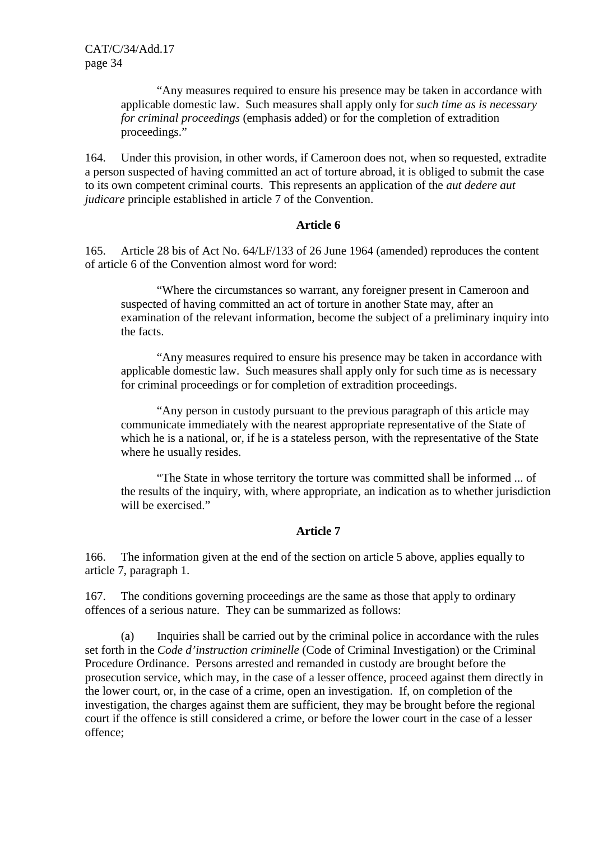"Any measures required to ensure his presence may be taken in accordance with applicable domestic law. Such measures shall apply only for *such time as is necessary for criminal proceedings* (emphasis added) or for the completion of extradition proceedings."

164. Under this provision, in other words, if Cameroon does not, when so requested, extradite a person suspected of having committed an act of torture abroad, it is obliged to submit the case to its own competent criminal courts. This represents an application of the *aut dedere aut judicare* principle established in article 7 of the Convention.

#### **Article 6**

165. Article 28 bis of Act No. 64/LF/133 of 26 June 1964 (amended) reproduces the content of article 6 of the Convention almost word for word:

 "Where the circumstances so warrant, any foreigner present in Cameroon and suspected of having committed an act of torture in another State may, after an examination of the relevant information, become the subject of a preliminary inquiry into the facts.

 "Any measures required to ensure his presence may be taken in accordance with applicable domestic law. Such measures shall apply only for such time as is necessary for criminal proceedings or for completion of extradition proceedings.

 "Any person in custody pursuant to the previous paragraph of this article may communicate immediately with the nearest appropriate representative of the State of which he is a national, or, if he is a stateless person, with the representative of the State where he usually resides.

 "The State in whose territory the torture was committed shall be informed ... of the results of the inquiry, with, where appropriate, an indication as to whether jurisdiction will be exercised."

## **Article 7**

166. The information given at the end of the section on article 5 above, applies equally to article 7, paragraph 1.

167. The conditions governing proceedings are the same as those that apply to ordinary offences of a serious nature. They can be summarized as follows:

 (a) Inquiries shall be carried out by the criminal police in accordance with the rules set forth in the *Code d'instruction criminelle* (Code of Criminal Investigation) or the Criminal Procedure Ordinance. Persons arrested and remanded in custody are brought before the prosecution service, which may, in the case of a lesser offence, proceed against them directly in the lower court, or, in the case of a crime, open an investigation. If, on completion of the investigation, the charges against them are sufficient, they may be brought before the regional court if the offence is still considered a crime, or before the lower court in the case of a lesser offence;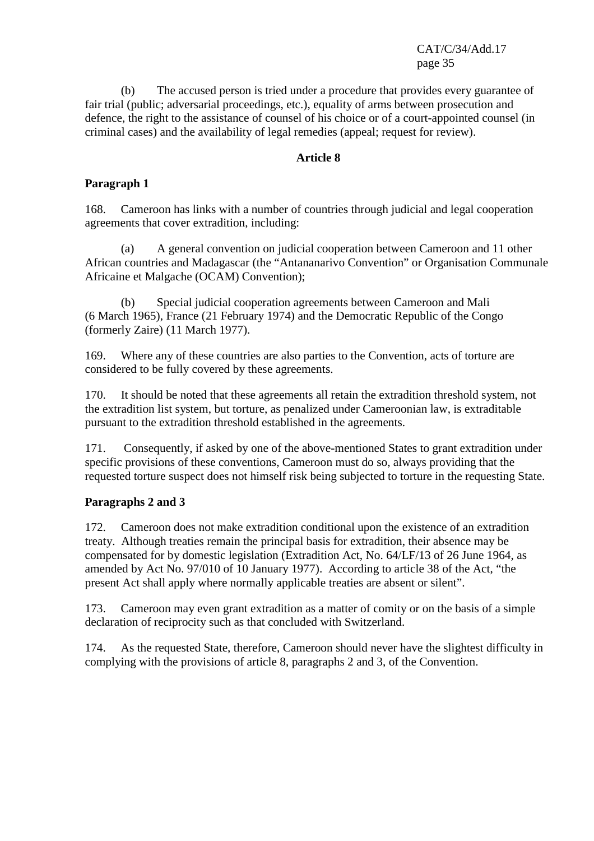(b) The accused person is tried under a procedure that provides every guarantee of fair trial (public; adversarial proceedings, etc.), equality of arms between prosecution and defence, the right to the assistance of counsel of his choice or of a court-appointed counsel (in criminal cases) and the availability of legal remedies (appeal; request for review).

#### **Article 8**

## **Paragraph 1**

168. Cameroon has links with a number of countries through judicial and legal cooperation agreements that cover extradition, including:

 (a) A general convention on judicial cooperation between Cameroon and 11 other African countries and Madagascar (the "Antananarivo Convention" or Organisation Communale Africaine et Malgache (OCAM) Convention);

 (b) Special judicial cooperation agreements between Cameroon and Mali (6 March 1965), France (21 February 1974) and the Democratic Republic of the Congo (formerly Zaire) (11 March 1977).

169. Where any of these countries are also parties to the Convention, acts of torture are considered to be fully covered by these agreements.

170. It should be noted that these agreements all retain the extradition threshold system, not the extradition list system, but torture, as penalized under Cameroonian law, is extraditable pursuant to the extradition threshold established in the agreements.

171. Consequently, if asked by one of the above-mentioned States to grant extradition under specific provisions of these conventions, Cameroon must do so, always providing that the requested torture suspect does not himself risk being subjected to torture in the requesting State.

## **Paragraphs 2 and 3**

172. Cameroon does not make extradition conditional upon the existence of an extradition treaty. Although treaties remain the principal basis for extradition, their absence may be compensated for by domestic legislation (Extradition Act, No. 64/LF/13 of 26 June 1964, as amended by Act No. 97/010 of 10 January 1977). According to article 38 of the Act, "the present Act shall apply where normally applicable treaties are absent or silent".

173. Cameroon may even grant extradition as a matter of comity or on the basis of a simple declaration of reciprocity such as that concluded with Switzerland.

174. As the requested State, therefore, Cameroon should never have the slightest difficulty in complying with the provisions of article 8, paragraphs 2 and 3, of the Convention.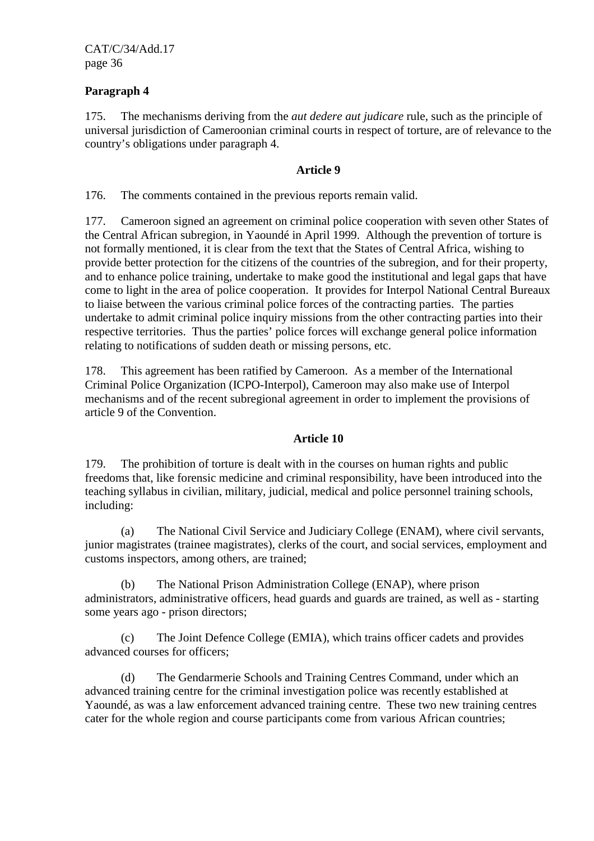## **Paragraph 4**

175. The mechanisms deriving from the *aut dedere aut judicare* rule, such as the principle of universal jurisdiction of Cameroonian criminal courts in respect of torture, are of relevance to the country's obligations under paragraph 4.

#### **Article 9**

176. The comments contained in the previous reports remain valid.

177. Cameroon signed an agreement on criminal police cooperation with seven other States of the Central African subregion, in Yaoundé in April 1999. Although the prevention of torture is not formally mentioned, it is clear from the text that the States of Central Africa, wishing to provide better protection for the citizens of the countries of the subregion, and for their property, and to enhance police training, undertake to make good the institutional and legal gaps that have come to light in the area of police cooperation. It provides for Interpol National Central Bureaux to liaise between the various criminal police forces of the contracting parties. The parties undertake to admit criminal police inquiry missions from the other contracting parties into their respective territories. Thus the parties' police forces will exchange general police information relating to notifications of sudden death or missing persons, etc.

178. This agreement has been ratified by Cameroon. As a member of the International Criminal Police Organization (ICPO-Interpol), Cameroon may also make use of Interpol mechanisms and of the recent subregional agreement in order to implement the provisions of article 9 of the Convention.

## **Article 10**

179. The prohibition of torture is dealt with in the courses on human rights and public freedoms that, like forensic medicine and criminal responsibility, have been introduced into the teaching syllabus in civilian, military, judicial, medical and police personnel training schools, including:

 (a) The National Civil Service and Judiciary College (ENAM), where civil servants, junior magistrates (trainee magistrates), clerks of the court, and social services, employment and customs inspectors, among others, are trained;

 (b) The National Prison Administration College (ENAP), where prison administrators, administrative officers, head guards and guards are trained, as well as - starting some years ago - prison directors;

 (c) The Joint Defence College (EMIA), which trains officer cadets and provides advanced courses for officers;

 (d) The Gendarmerie Schools and Training Centres Command, under which an advanced training centre for the criminal investigation police was recently established at Yaoundé, as was a law enforcement advanced training centre. These two new training centres cater for the whole region and course participants come from various African countries;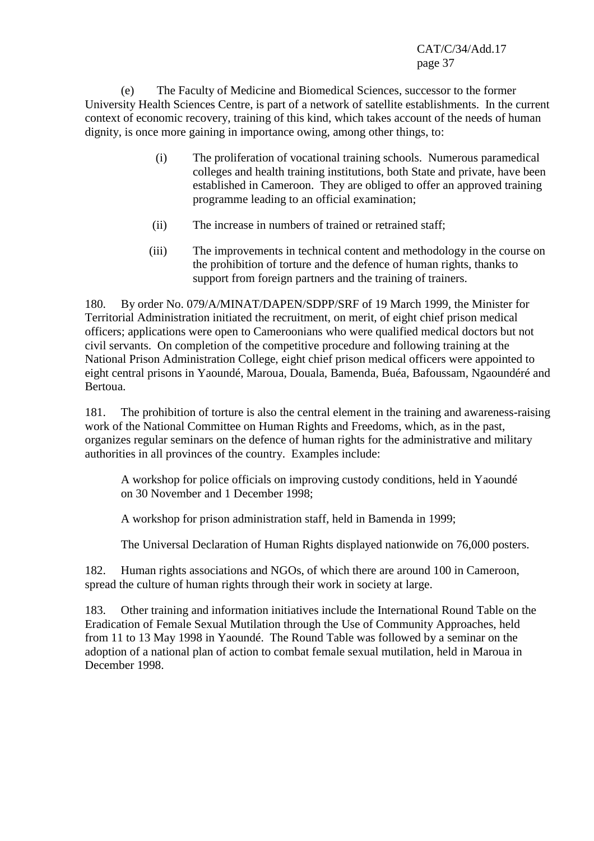(e) The Faculty of Medicine and Biomedical Sciences, successor to the former University Health Sciences Centre, is part of a network of satellite establishments. In the current context of economic recovery, training of this kind, which takes account of the needs of human dignity, is once more gaining in importance owing, among other things, to:

- (i) The proliferation of vocational training schools. Numerous paramedical colleges and health training institutions, both State and private, have been established in Cameroon. They are obliged to offer an approved training programme leading to an official examination;
- (ii) The increase in numbers of trained or retrained staff;
- (iii) The improvements in technical content and methodology in the course on the prohibition of torture and the defence of human rights, thanks to support from foreign partners and the training of trainers.

180. By order No. 079/A/MINAT/DAPEN/SDPP/SRF of 19 March 1999, the Minister for Territorial Administration initiated the recruitment, on merit, of eight chief prison medical officers; applications were open to Cameroonians who were qualified medical doctors but not civil servants. On completion of the competitive procedure and following training at the National Prison Administration College, eight chief prison medical officers were appointed to eight central prisons in Yaoundé, Maroua, Douala, Bamenda, Buéa, Bafoussam, Ngaoundéré and Bertoua.

181. The prohibition of torture is also the central element in the training and awareness-raising work of the National Committee on Human Rights and Freedoms, which, as in the past, organizes regular seminars on the defence of human rights for the administrative and military authorities in all provinces of the country. Examples include:

 A workshop for police officials on improving custody conditions, held in Yaoundé on 30 November and 1 December 1998;

A workshop for prison administration staff, held in Bamenda in 1999;

The Universal Declaration of Human Rights displayed nationwide on 76,000 posters.

182. Human rights associations and NGOs, of which there are around 100 in Cameroon, spread the culture of human rights through their work in society at large.

183. Other training and information initiatives include the International Round Table on the Eradication of Female Sexual Mutilation through the Use of Community Approaches, held from 11 to 13 May 1998 in Yaoundé. The Round Table was followed by a seminar on the adoption of a national plan of action to combat female sexual mutilation, held in Maroua in December 1998.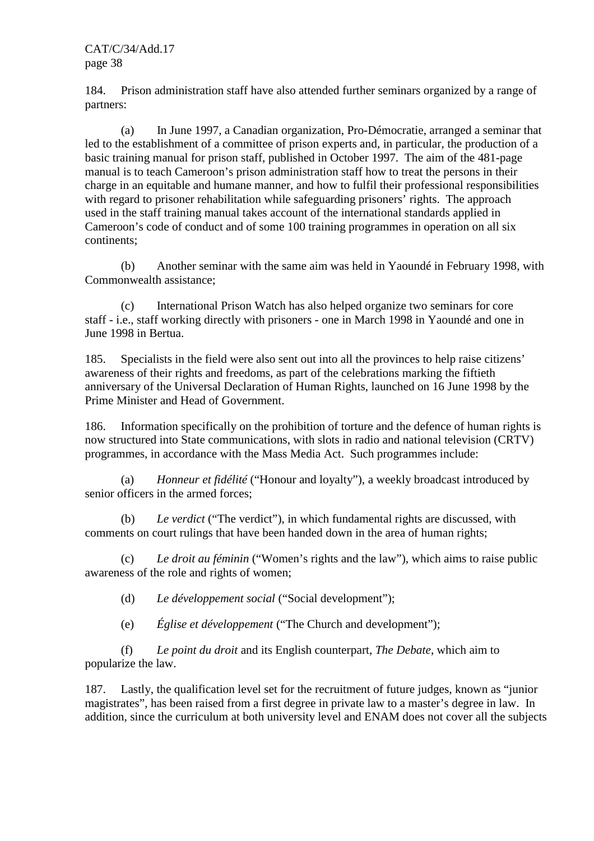184. Prison administration staff have also attended further seminars organized by a range of partners:

 (a) In June 1997, a Canadian organization, Pro-Démocratie, arranged a seminar that led to the establishment of a committee of prison experts and, in particular, the production of a basic training manual for prison staff, published in October 1997. The aim of the 481-page manual is to teach Cameroon's prison administration staff how to treat the persons in their charge in an equitable and humane manner, and how to fulfil their professional responsibilities with regard to prisoner rehabilitation while safeguarding prisoners' rights. The approach used in the staff training manual takes account of the international standards applied in Cameroon's code of conduct and of some 100 training programmes in operation on all six continents;

 (b) Another seminar with the same aim was held in Yaoundé in February 1998, with Commonwealth assistance;

 (c) International Prison Watch has also helped organize two seminars for core staff - i.e., staff working directly with prisoners - one in March 1998 in Yaoundé and one in June 1998 in Bertua.

185. Specialists in the field were also sent out into all the provinces to help raise citizens' awareness of their rights and freedoms, as part of the celebrations marking the fiftieth anniversary of the Universal Declaration of Human Rights, launched on 16 June 1998 by the Prime Minister and Head of Government.

186. Information specifically on the prohibition of torture and the defence of human rights is now structured into State communications, with slots in radio and national television (CRTV) programmes, in accordance with the Mass Media Act. Such programmes include:

 (a) *Honneur et fidélité* ("Honour and loyalty"), a weekly broadcast introduced by senior officers in the armed forces;

 (b) *Le verdict* ("The verdict"), in which fundamental rights are discussed, with comments on court rulings that have been handed down in the area of human rights;

 (c) *Le droit au féminin* ("Women's rights and the law"), which aims to raise public awareness of the role and rights of women;

(d) *Le développement social* ("Social development");

(e) *Église et développement* ("The Church and development");

 (f) *Le point du droit* and its English counterpart, *The Debate*, which aim to popularize the law.

187. Lastly, the qualification level set for the recruitment of future judges, known as "junior magistrates", has been raised from a first degree in private law to a master's degree in law. In addition, since the curriculum at both university level and ENAM does not cover all the subjects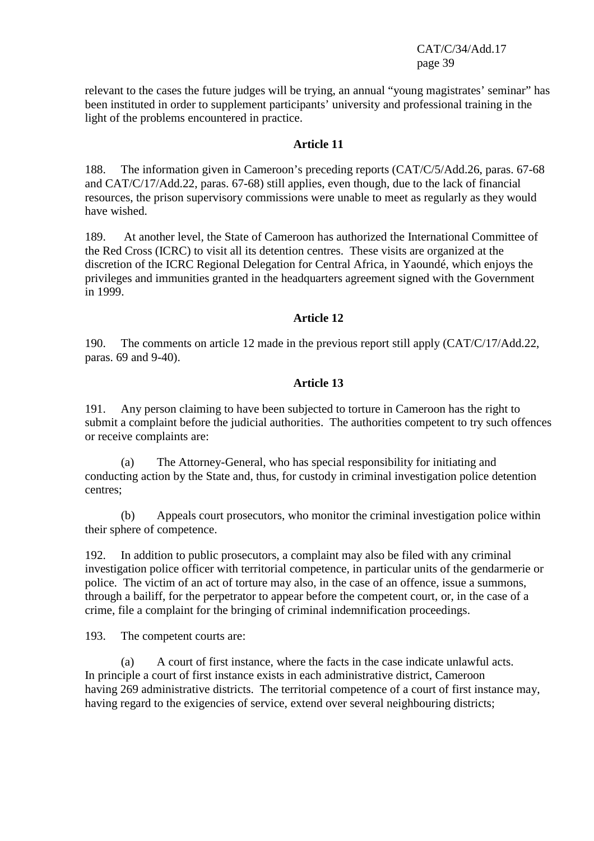relevant to the cases the future judges will be trying, an annual "young magistrates' seminar" has been instituted in order to supplement participants' university and professional training in the light of the problems encountered in practice.

#### **Article 11**

188. The information given in Cameroon's preceding reports (CAT/C/5/Add.26, paras. 67-68 and CAT/C/17/Add.22, paras. 67-68) still applies, even though, due to the lack of financial resources, the prison supervisory commissions were unable to meet as regularly as they would have wished.

189. At another level, the State of Cameroon has authorized the International Committee of the Red Cross (ICRC) to visit all its detention centres. These visits are organized at the discretion of the ICRC Regional Delegation for Central Africa, in Yaoundé, which enjoys the privileges and immunities granted in the headquarters agreement signed with the Government in 1999.

#### **Article 12**

190. The comments on article 12 made in the previous report still apply (CAT/C/17/Add.22, paras. 69 and 9-40).

## **Article 13**

191. Any person claiming to have been subjected to torture in Cameroon has the right to submit a complaint before the judicial authorities. The authorities competent to try such offences or receive complaints are:

 (a) The Attorney-General, who has special responsibility for initiating and conducting action by the State and, thus, for custody in criminal investigation police detention centres;

 (b) Appeals court prosecutors, who monitor the criminal investigation police within their sphere of competence.

192. In addition to public prosecutors, a complaint may also be filed with any criminal investigation police officer with territorial competence, in particular units of the gendarmerie or police. The victim of an act of torture may also, in the case of an offence, issue a summons, through a bailiff, for the perpetrator to appear before the competent court, or, in the case of a crime, file a complaint for the bringing of criminal indemnification proceedings.

193. The competent courts are:

 (a) A court of first instance, where the facts in the case indicate unlawful acts. In principle a court of first instance exists in each administrative district, Cameroon having 269 administrative districts. The territorial competence of a court of first instance may, having regard to the exigencies of service, extend over several neighbouring districts;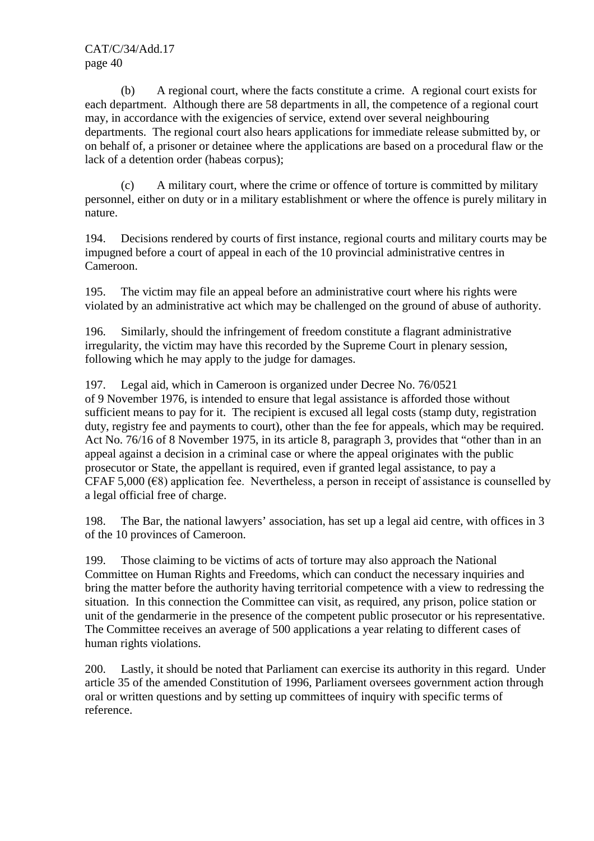(b) A regional court, where the facts constitute a crime. A regional court exists for each department. Although there are 58 departments in all, the competence of a regional court may, in accordance with the exigencies of service, extend over several neighbouring departments. The regional court also hears applications for immediate release submitted by, or on behalf of, a prisoner or detainee where the applications are based on a procedural flaw or the lack of a detention order (habeas corpus);

 (c) A military court, where the crime or offence of torture is committed by military personnel, either on duty or in a military establishment or where the offence is purely military in nature.

194. Decisions rendered by courts of first instance, regional courts and military courts may be impugned before a court of appeal in each of the 10 provincial administrative centres in Cameroon.

195. The victim may file an appeal before an administrative court where his rights were violated by an administrative act which may be challenged on the ground of abuse of authority.

196. Similarly, should the infringement of freedom constitute a flagrant administrative irregularity, the victim may have this recorded by the Supreme Court in plenary session, following which he may apply to the judge for damages.

197. Legal aid, which in Cameroon is organized under Decree No. 76/0521 of 9 November 1976, is intended to ensure that legal assistance is afforded those without sufficient means to pay for it. The recipient is excused all legal costs (stamp duty, registration duty, registry fee and payments to court), other than the fee for appeals, which may be required. Act No. 76/16 of 8 November 1975, in its article 8, paragraph 3, provides that "other than in an appeal against a decision in a criminal case or where the appeal originates with the public prosecutor or State, the appellant is required, even if granted legal assistance, to pay a CFAF 5,000 ( $\epsilon$ 8) application fee. Nevertheless, a person in receipt of assistance is counselled by a legal official free of charge.

198. The Bar, the national lawyers' association, has set up a legal aid centre, with offices in 3 of the 10 provinces of Cameroon.

199. Those claiming to be victims of acts of torture may also approach the National Committee on Human Rights and Freedoms, which can conduct the necessary inquiries and bring the matter before the authority having territorial competence with a view to redressing the situation. In this connection the Committee can visit, as required, any prison, police station or unit of the gendarmerie in the presence of the competent public prosecutor or his representative. The Committee receives an average of 500 applications a year relating to different cases of human rights violations.

200. Lastly, it should be noted that Parliament can exercise its authority in this regard. Under article 35 of the amended Constitution of 1996, Parliament oversees government action through oral or written questions and by setting up committees of inquiry with specific terms of reference.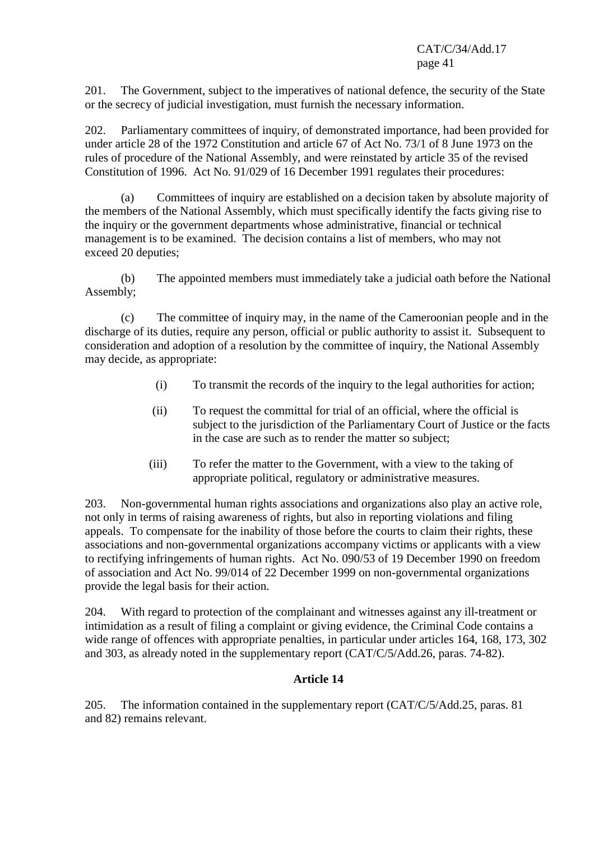201. The Government, subject to the imperatives of national defence, the security of the State or the secrecy of judicial investigation, must furnish the necessary information.

202. Parliamentary committees of inquiry, of demonstrated importance, had been provided for under article 28 of the 1972 Constitution and article 67 of Act No. 73/1 of 8 June 1973 on the rules of procedure of the National Assembly, and were reinstated by article 35 of the revised Constitution of 1996. Act No. 91/029 of 16 December 1991 regulates their procedures:

 (a) Committees of inquiry are established on a decision taken by absolute majority of the members of the National Assembly, which must specifically identify the facts giving rise to the inquiry or the government departments whose administrative, financial or technical management is to be examined. The decision contains a list of members, who may not exceed 20 deputies;

 (b) The appointed members must immediately take a judicial oath before the National Assembly;

 (c) The committee of inquiry may, in the name of the Cameroonian people and in the discharge of its duties, require any person, official or public authority to assist it. Subsequent to consideration and adoption of a resolution by the committee of inquiry, the National Assembly may decide, as appropriate:

- (i) To transmit the records of the inquiry to the legal authorities for action;
- (ii) To request the committal for trial of an official, where the official is subject to the jurisdiction of the Parliamentary Court of Justice or the facts in the case are such as to render the matter so subject;
- (iii) To refer the matter to the Government, with a view to the taking of appropriate political, regulatory or administrative measures.

203. Non-governmental human rights associations and organizations also play an active role, not only in terms of raising awareness of rights, but also in reporting violations and filing appeals. To compensate for the inability of those before the courts to claim their rights, these associations and non-governmental organizations accompany victims or applicants with a view to rectifying infringements of human rights. Act No. 090/53 of 19 December 1990 on freedom of association and Act No. 99/014 of 22 December 1999 on non-governmental organizations provide the legal basis for their action.

204. With regard to protection of the complainant and witnesses against any ill-treatment or intimidation as a result of filing a complaint or giving evidence, the Criminal Code contains a wide range of offences with appropriate penalties, in particular under articles 164, 168, 173, 302 and 303, as already noted in the supplementary report (CAT/C/5/Add.26, paras. 74-82).

## **Article 14**

205. The information contained in the supplementary report (CAT/C/5/Add.25, paras. 81 and 82) remains relevant.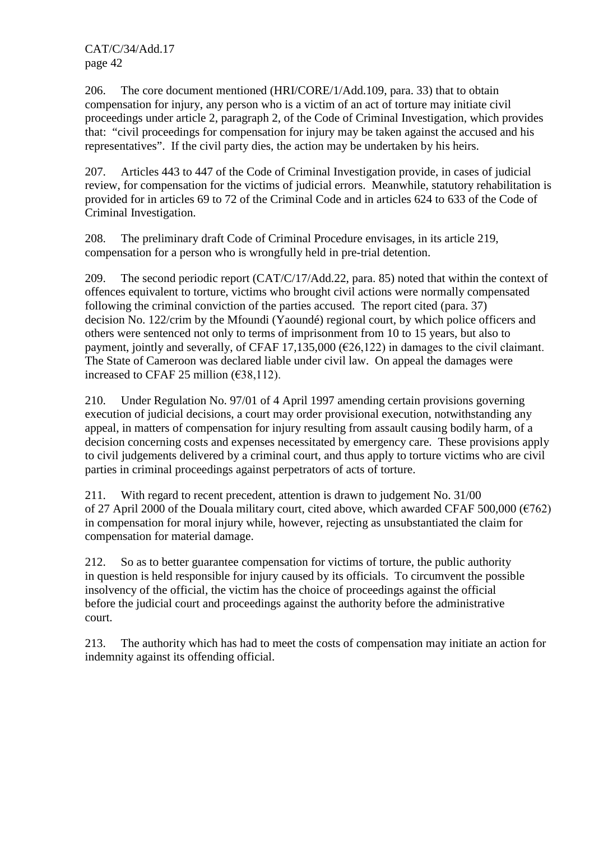206. The core document mentioned (HRI/CORE/1/Add.109, para. 33) that to obtain compensation for injury, any person who is a victim of an act of torture may initiate civil proceedings under article 2, paragraph 2, of the Code of Criminal Investigation, which provides that: "civil proceedings for compensation for injury may be taken against the accused and his representatives". If the civil party dies, the action may be undertaken by his heirs.

207. Articles 443 to 447 of the Code of Criminal Investigation provide, in cases of judicial review, for compensation for the victims of judicial errors. Meanwhile, statutory rehabilitation is provided for in articles 69 to 72 of the Criminal Code and in articles 624 to 633 of the Code of Criminal Investigation.

208. The preliminary draft Code of Criminal Procedure envisages, in its article 219, compensation for a person who is wrongfully held in pre-trial detention.

209. The second periodic report (CAT/C/17/Add.22, para. 85) noted that within the context of offences equivalent to torture, victims who brought civil actions were normally compensated following the criminal conviction of the parties accused. The report cited (para. 37) decision No. 122/crim by the Mfoundi (Yaoundé) regional court, by which police officers and others were sentenced not only to terms of imprisonment from 10 to 15 years, but also to payment, jointly and severally, of CFAF 17,135,000 ( $\epsilon$ 26,122) in damages to the civil claimant. The State of Cameroon was declared liable under civil law. On appeal the damages were increased to CFAF 25 million ( $\epsilon$ 38,112).

210. Under Regulation No. 97/01 of 4 April 1997 amending certain provisions governing execution of judicial decisions, a court may order provisional execution, notwithstanding any appeal, in matters of compensation for injury resulting from assault causing bodily harm, of a decision concerning costs and expenses necessitated by emergency care. These provisions apply to civil judgements delivered by a criminal court, and thus apply to torture victims who are civil parties in criminal proceedings against perpetrators of acts of torture.

211. With regard to recent precedent, attention is drawn to judgement No. 31/00 of 27 April 2000 of the Douala military court, cited above, which awarded CFAF 500,000  $(6762)$ in compensation for moral injury while, however, rejecting as unsubstantiated the claim for compensation for material damage.

212. So as to better guarantee compensation for victims of torture, the public authority in question is held responsible for injury caused by its officials. To circumvent the possible insolvency of the official, the victim has the choice of proceedings against the official before the judicial court and proceedings against the authority before the administrative court.

213. The authority which has had to meet the costs of compensation may initiate an action for indemnity against its offending official.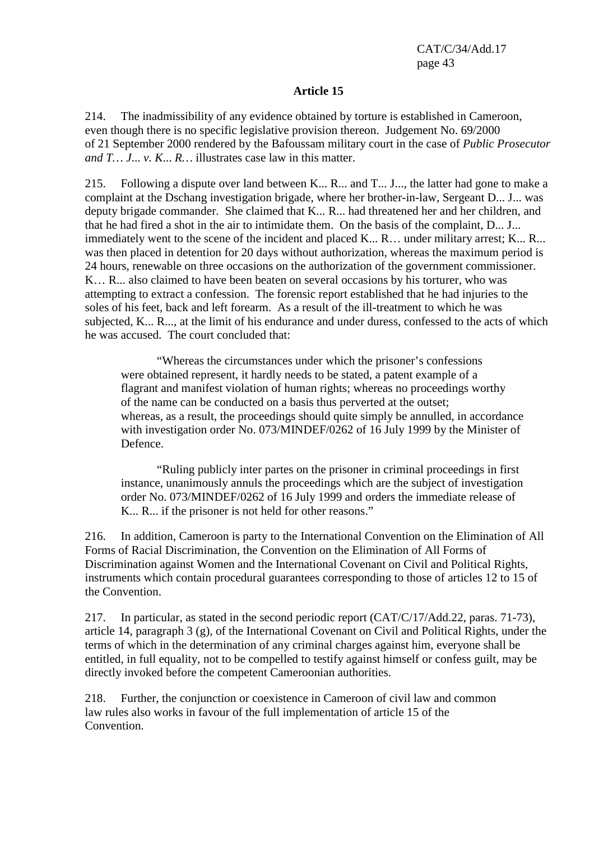#### **Article 15**

214. The inadmissibility of any evidence obtained by torture is established in Cameroon, even though there is no specific legislative provision thereon. Judgement No. 69/2000 of 21 September 2000 rendered by the Bafoussam military court in the case of *Public Prosecutor and T… J*... *v. K*... *R…* illustrates case law in this matter.

215. Following a dispute over land between K... R... and T... J..., the latter had gone to make a complaint at the Dschang investigation brigade, where her brother-in-law, Sergeant D... J... was deputy brigade commander. She claimed that K... R... had threatened her and her children, and that he had fired a shot in the air to intimidate them. On the basis of the complaint, D... J... immediately went to the scene of the incident and placed K... R… under military arrest; K... R... was then placed in detention for 20 days without authorization, whereas the maximum period is 24 hours, renewable on three occasions on the authorization of the government commissioner. K… R... also claimed to have been beaten on several occasions by his torturer, who was attempting to extract a confession. The forensic report established that he had injuries to the soles of his feet, back and left forearm. As a result of the ill-treatment to which he was subjected, K... R..., at the limit of his endurance and under duress, confessed to the acts of which he was accused. The court concluded that:

 "Whereas the circumstances under which the prisoner's confessions were obtained represent, it hardly needs to be stated, a patent example of a flagrant and manifest violation of human rights; whereas no proceedings worthy of the name can be conducted on a basis thus perverted at the outset; whereas, as a result, the proceedings should quite simply be annulled, in accordance with investigation order No. 073/MINDEF/0262 of 16 July 1999 by the Minister of Defence.

 "Ruling publicly inter partes on the prisoner in criminal proceedings in first instance, unanimously annuls the proceedings which are the subject of investigation order No. 073/MINDEF/0262 of 16 July 1999 and orders the immediate release of K... R... if the prisoner is not held for other reasons."

216. In addition, Cameroon is party to the International Convention on the Elimination of All Forms of Racial Discrimination, the Convention on the Elimination of All Forms of Discrimination against Women and the International Covenant on Civil and Political Rights, instruments which contain procedural guarantees corresponding to those of articles 12 to 15 of the Convention.

217. In particular, as stated in the second periodic report (CAT/C/17/Add.22, paras. 71-73), article 14, paragraph 3 (g), of the International Covenant on Civil and Political Rights, under the terms of which in the determination of any criminal charges against him, everyone shall be entitled, in full equality, not to be compelled to testify against himself or confess guilt, may be directly invoked before the competent Cameroonian authorities.

218. Further, the conjunction or coexistence in Cameroon of civil law and common law rules also works in favour of the full implementation of article 15 of the Convention.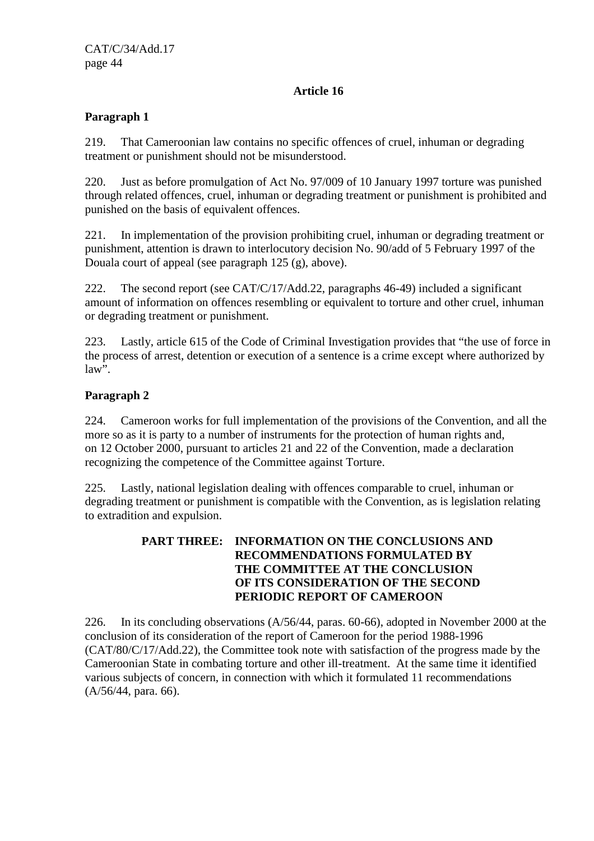## **Article 16**

## **Paragraph 1**

219. That Cameroonian law contains no specific offences of cruel, inhuman or degrading treatment or punishment should not be misunderstood.

220. Just as before promulgation of Act No. 97/009 of 10 January 1997 torture was punished through related offences, cruel, inhuman or degrading treatment or punishment is prohibited and punished on the basis of equivalent offences.

221. In implementation of the provision prohibiting cruel, inhuman or degrading treatment or punishment, attention is drawn to interlocutory decision No. 90/add of 5 February 1997 of the Douala court of appeal (see paragraph 125 (g), above).

222. The second report (see CAT/C/17/Add.22, paragraphs 46-49) included a significant amount of information on offences resembling or equivalent to torture and other cruel, inhuman or degrading treatment or punishment.

223. Lastly, article 615 of the Code of Criminal Investigation provides that "the use of force in the process of arrest, detention or execution of a sentence is a crime except where authorized by law".

## **Paragraph 2**

224. Cameroon works for full implementation of the provisions of the Convention, and all the more so as it is party to a number of instruments for the protection of human rights and, on 12 October 2000, pursuant to articles 21 and 22 of the Convention, made a declaration recognizing the competence of the Committee against Torture.

225. Lastly, national legislation dealing with offences comparable to cruel, inhuman or degrading treatment or punishment is compatible with the Convention, as is legislation relating to extradition and expulsion.

## **PART THREE: INFORMATION ON THE CONCLUSIONS AND RECOMMENDATIONS FORMULATED BY THE COMMITTEE AT THE CONCLUSION OF ITS CONSIDERATION OF THE SECOND PERIODIC REPORT OF CAMEROON**

226. In its concluding observations (A/56/44, paras. 60-66), adopted in November 2000 at the conclusion of its consideration of the report of Cameroon for the period 1988-1996 (CAT/80/C/17/Add.22), the Committee took note with satisfaction of the progress made by the Cameroonian State in combating torture and other ill-treatment. At the same time it identified various subjects of concern, in connection with which it formulated 11 recommendations (A/56/44, para. 66).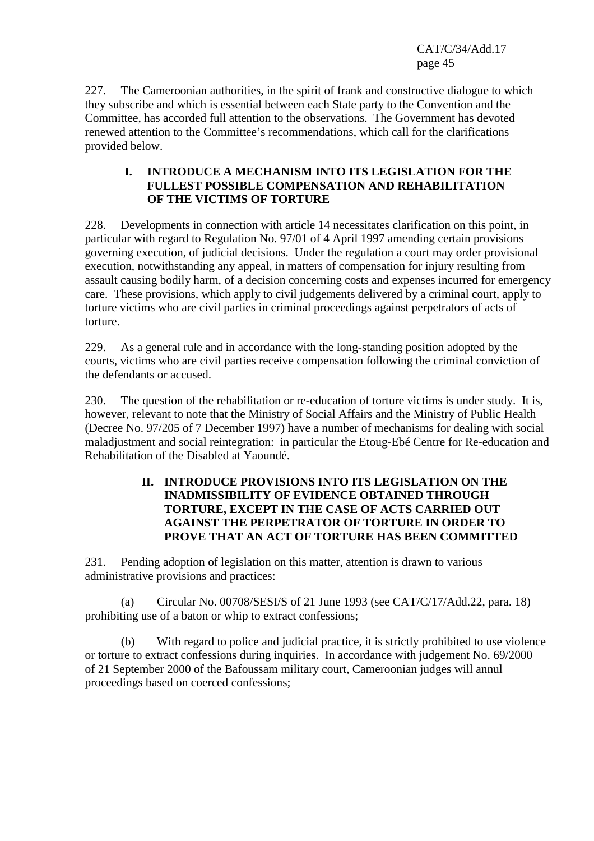227. The Cameroonian authorities, in the spirit of frank and constructive dialogue to which they subscribe and which is essential between each State party to the Convention and the Committee, has accorded full attention to the observations. The Government has devoted renewed attention to the Committee's recommendations, which call for the clarifications provided below.

#### **I. INTRODUCE A MECHANISM INTO ITS LEGISLATION FOR THE FULLEST POSSIBLE COMPENSATION AND REHABILITATION OF THE VICTIMS OF TORTURE**

228. Developments in connection with article 14 necessitates clarification on this point, in particular with regard to Regulation No. 97/01 of 4 April 1997 amending certain provisions governing execution, of judicial decisions. Under the regulation a court may order provisional execution, notwithstanding any appeal, in matters of compensation for injury resulting from assault causing bodily harm, of a decision concerning costs and expenses incurred for emergency care. These provisions, which apply to civil judgements delivered by a criminal court, apply to torture victims who are civil parties in criminal proceedings against perpetrators of acts of torture.

229. As a general rule and in accordance with the long-standing position adopted by the courts, victims who are civil parties receive compensation following the criminal conviction of the defendants or accused.

230. The question of the rehabilitation or re-education of torture victims is under study. It is, however, relevant to note that the Ministry of Social Affairs and the Ministry of Public Health (Decree No. 97/205 of 7 December 1997) have a number of mechanisms for dealing with social maladjustment and social reintegration: in particular the Etoug-Ebé Centre for Re-education and Rehabilitation of the Disabled at Yaoundé.

## **II. INTRODUCE PROVISIONS INTO ITS LEGISLATION ON THE INADMISSIBILITY OF EVIDENCE OBTAINED THROUGH TORTURE, EXCEPT IN THE CASE OF ACTS CARRIED OUT AGAINST THE PERPETRATOR OF TORTURE IN ORDER TO PROVE THAT AN ACT OF TORTURE HAS BEEN COMMITTED**

231. Pending adoption of legislation on this matter, attention is drawn to various administrative provisions and practices:

 (a) Circular No. 00708/SESI/S of 21 June 1993 (see CAT/C/17/Add.22, para. 18) prohibiting use of a baton or whip to extract confessions;

 (b) With regard to police and judicial practice, it is strictly prohibited to use violence or torture to extract confessions during inquiries. In accordance with judgement No. 69/2000 of 21 September 2000 of the Bafoussam military court, Cameroonian judges will annul proceedings based on coerced confessions;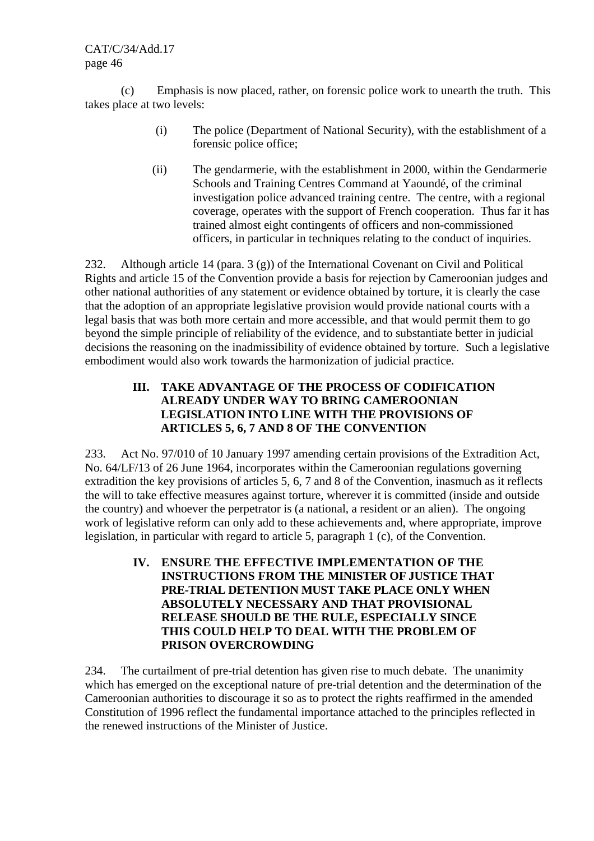(c) Emphasis is now placed, rather, on forensic police work to unearth the truth. This takes place at two levels:

- (i) The police (Department of National Security), with the establishment of a forensic police office;
- (ii) The gendarmerie, with the establishment in 2000, within the Gendarmerie Schools and Training Centres Command at Yaoundé, of the criminal investigation police advanced training centre. The centre, with a regional coverage, operates with the support of French cooperation. Thus far it has trained almost eight contingents of officers and non-commissioned officers, in particular in techniques relating to the conduct of inquiries.

232. Although article 14 (para. 3 (g)) of the International Covenant on Civil and Political Rights and article 15 of the Convention provide a basis for rejection by Cameroonian judges and other national authorities of any statement or evidence obtained by torture, it is clearly the case that the adoption of an appropriate legislative provision would provide national courts with a legal basis that was both more certain and more accessible, and that would permit them to go beyond the simple principle of reliability of the evidence, and to substantiate better in judicial decisions the reasoning on the inadmissibility of evidence obtained by torture. Such a legislative embodiment would also work towards the harmonization of judicial practice.

## **III. TAKE ADVANTAGE OF THE PROCESS OF CODIFICATION ALREADY UNDER WAY TO BRING CAMEROONIAN LEGISLATION INTO LINE WITH THE PROVISIONS OF ARTICLES 5, 6, 7 AND 8 OF THE CONVENTION**

233. Act No. 97/010 of 10 January 1997 amending certain provisions of the Extradition Act, No. 64/LF/13 of 26 June 1964, incorporates within the Cameroonian regulations governing extradition the key provisions of articles 5, 6, 7 and 8 of the Convention, inasmuch as it reflects the will to take effective measures against torture, wherever it is committed (inside and outside the country) and whoever the perpetrator is (a national, a resident or an alien). The ongoing work of legislative reform can only add to these achievements and, where appropriate, improve legislation, in particular with regard to article 5, paragraph 1 (c), of the Convention.

> **IV. ENSURE THE EFFECTIVE IMPLEMENTATION OF THE INSTRUCTIONS FROM THE MINISTER OF JUSTICE THAT PRE-TRIAL DETENTION MUST TAKE PLACE ONLY WHEN ABSOLUTELY NECESSARY AND THAT PROVISIONAL RELEASE SHOULD BE THE RULE, ESPECIALLY SINCE THIS COULD HELP TO DEAL WITH THE PROBLEM OF PRISON OVERCROWDING**

234. The curtailment of pre-trial detention has given rise to much debate. The unanimity which has emerged on the exceptional nature of pre-trial detention and the determination of the Cameroonian authorities to discourage it so as to protect the rights reaffirmed in the amended Constitution of 1996 reflect the fundamental importance attached to the principles reflected in the renewed instructions of the Minister of Justice.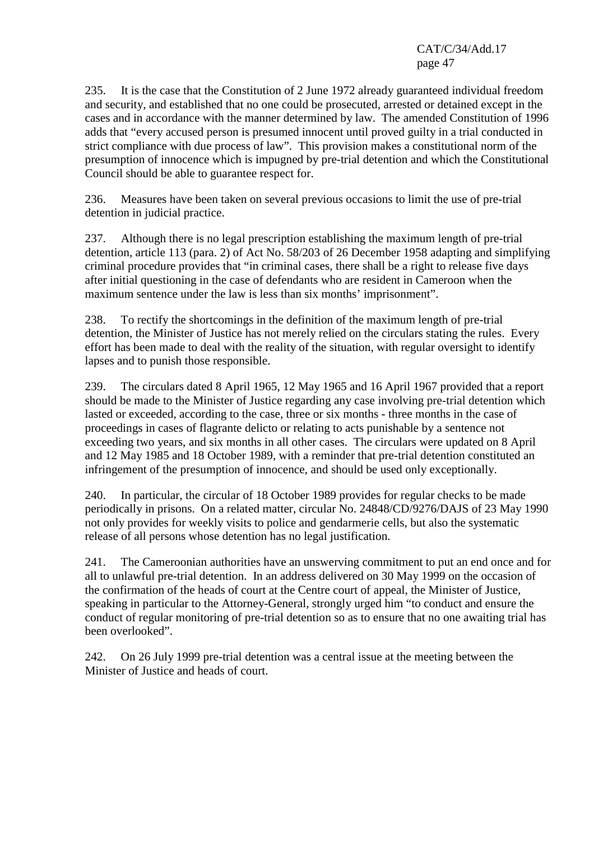235. It is the case that the Constitution of 2 June 1972 already guaranteed individual freedom and security, and established that no one could be prosecuted, arrested or detained except in the cases and in accordance with the manner determined by law. The amended Constitution of 1996 adds that "every accused person is presumed innocent until proved guilty in a trial conducted in strict compliance with due process of law". This provision makes a constitutional norm of the presumption of innocence which is impugned by pre-trial detention and which the Constitutional Council should be able to guarantee respect for.

236. Measures have been taken on several previous occasions to limit the use of pre-trial detention in judicial practice.

237. Although there is no legal prescription establishing the maximum length of pre-trial detention, article 113 (para. 2) of Act No. 58/203 of 26 December 1958 adapting and simplifying criminal procedure provides that "in criminal cases, there shall be a right to release five days after initial questioning in the case of defendants who are resident in Cameroon when the maximum sentence under the law is less than six months' imprisonment".

238. To rectify the shortcomings in the definition of the maximum length of pre-trial detention, the Minister of Justice has not merely relied on the circulars stating the rules. Every effort has been made to deal with the reality of the situation, with regular oversight to identify lapses and to punish those responsible.

239. The circulars dated 8 April 1965, 12 May 1965 and 16 April 1967 provided that a report should be made to the Minister of Justice regarding any case involving pre-trial detention which lasted or exceeded, according to the case, three or six months - three months in the case of proceedings in cases of flagrante delicto or relating to acts punishable by a sentence not exceeding two years, and six months in all other cases. The circulars were updated on 8 April and 12 May 1985 and 18 October 1989, with a reminder that pre-trial detention constituted an infringement of the presumption of innocence, and should be used only exceptionally.

240. In particular, the circular of 18 October 1989 provides for regular checks to be made periodically in prisons. On a related matter, circular No. 24848/CD/9276/DAJS of 23 May 1990 not only provides for weekly visits to police and gendarmerie cells, but also the systematic release of all persons whose detention has no legal justification.

241. The Cameroonian authorities have an unswerving commitment to put an end once and for all to unlawful pre-trial detention. In an address delivered on 30 May 1999 on the occasion of the confirmation of the heads of court at the Centre court of appeal, the Minister of Justice, speaking in particular to the Attorney-General, strongly urged him "to conduct and ensure the conduct of regular monitoring of pre-trial detention so as to ensure that no one awaiting trial has been overlooked".

242. On 26 July 1999 pre-trial detention was a central issue at the meeting between the Minister of Justice and heads of court.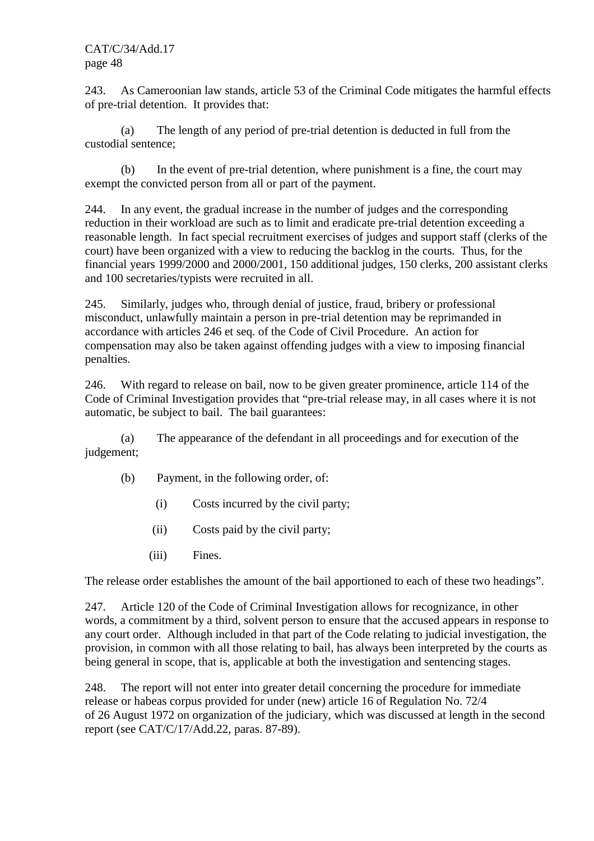243. As Cameroonian law stands, article 53 of the Criminal Code mitigates the harmful effects of pre-trial detention. It provides that:

 (a) The length of any period of pre-trial detention is deducted in full from the custodial sentence;

 (b) In the event of pre-trial detention, where punishment is a fine, the court may exempt the convicted person from all or part of the payment.

244. In any event, the gradual increase in the number of judges and the corresponding reduction in their workload are such as to limit and eradicate pre-trial detention exceeding a reasonable length. In fact special recruitment exercises of judges and support staff (clerks of the court) have been organized with a view to reducing the backlog in the courts. Thus, for the financial years 1999/2000 and 2000/2001, 150 additional judges, 150 clerks, 200 assistant clerks and 100 secretaries/typists were recruited in all.

245. Similarly, judges who, through denial of justice, fraud, bribery or professional misconduct, unlawfully maintain a person in pre-trial detention may be reprimanded in accordance with articles 246 et seq. of the Code of Civil Procedure. An action for compensation may also be taken against offending judges with a view to imposing financial penalties.

246. With regard to release on bail, now to be given greater prominence, article 114 of the Code of Criminal Investigation provides that "pre-trial release may, in all cases where it is not automatic, be subject to bail. The bail guarantees:

 (a) The appearance of the defendant in all proceedings and for execution of the judgement;

- (b) Payment, in the following order, of:
	- (i) Costs incurred by the civil party;
	- (ii) Costs paid by the civil party;
	- (iii) Fines.

The release order establishes the amount of the bail apportioned to each of these two headings".

247. Article 120 of the Code of Criminal Investigation allows for recognizance, in other words, a commitment by a third, solvent person to ensure that the accused appears in response to any court order. Although included in that part of the Code relating to judicial investigation, the provision, in common with all those relating to bail, has always been interpreted by the courts as being general in scope, that is, applicable at both the investigation and sentencing stages.

248. The report will not enter into greater detail concerning the procedure for immediate release or habeas corpus provided for under (new) article 16 of Regulation No. 72/4 of 26 August 1972 on organization of the judiciary, which was discussed at length in the second report (see CAT/C/17/Add.22, paras. 87-89).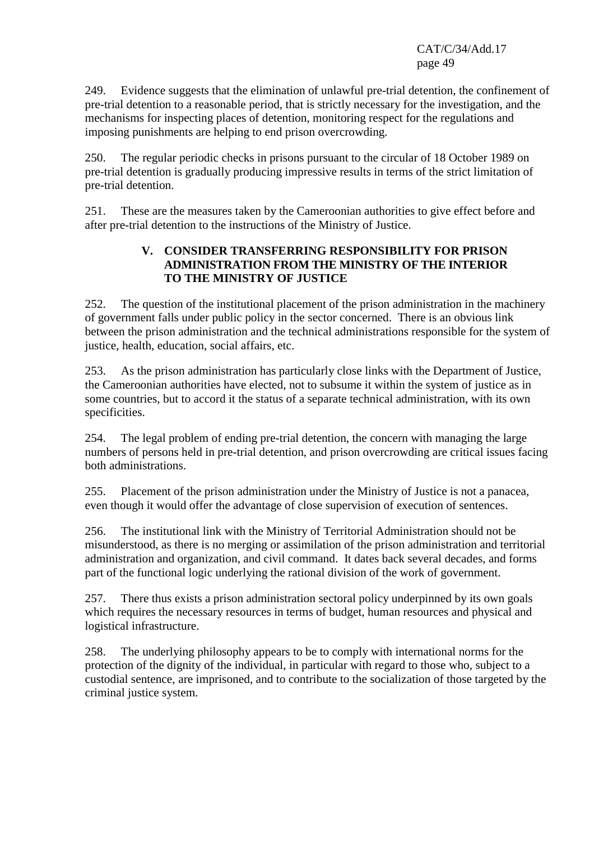249. Evidence suggests that the elimination of unlawful pre-trial detention, the confinement of pre-trial detention to a reasonable period, that is strictly necessary for the investigation, and the mechanisms for inspecting places of detention, monitoring respect for the regulations and imposing punishments are helping to end prison overcrowding.

250. The regular periodic checks in prisons pursuant to the circular of 18 October 1989 on pre-trial detention is gradually producing impressive results in terms of the strict limitation of pre-trial detention.

251. These are the measures taken by the Cameroonian authorities to give effect before and after pre-trial detention to the instructions of the Ministry of Justice.

## **V. CONSIDER TRANSFERRING RESPONSIBILITY FOR PRISON ADMINISTRATION FROM THE MINISTRY OF THE INTERIOR TO THE MINISTRY OF JUSTICE**

252. The question of the institutional placement of the prison administration in the machinery of government falls under public policy in the sector concerned. There is an obvious link between the prison administration and the technical administrations responsible for the system of justice, health, education, social affairs, etc.

253. As the prison administration has particularly close links with the Department of Justice, the Cameroonian authorities have elected, not to subsume it within the system of justice as in some countries, but to accord it the status of a separate technical administration, with its own specificities.

254. The legal problem of ending pre-trial detention, the concern with managing the large numbers of persons held in pre-trial detention, and prison overcrowding are critical issues facing both administrations.

255. Placement of the prison administration under the Ministry of Justice is not a panacea, even though it would offer the advantage of close supervision of execution of sentences.

256. The institutional link with the Ministry of Territorial Administration should not be misunderstood, as there is no merging or assimilation of the prison administration and territorial administration and organization, and civil command. It dates back several decades, and forms part of the functional logic underlying the rational division of the work of government.

257. There thus exists a prison administration sectoral policy underpinned by its own goals which requires the necessary resources in terms of budget, human resources and physical and logistical infrastructure.

258. The underlying philosophy appears to be to comply with international norms for the protection of the dignity of the individual, in particular with regard to those who, subject to a custodial sentence, are imprisoned, and to contribute to the socialization of those targeted by the criminal justice system.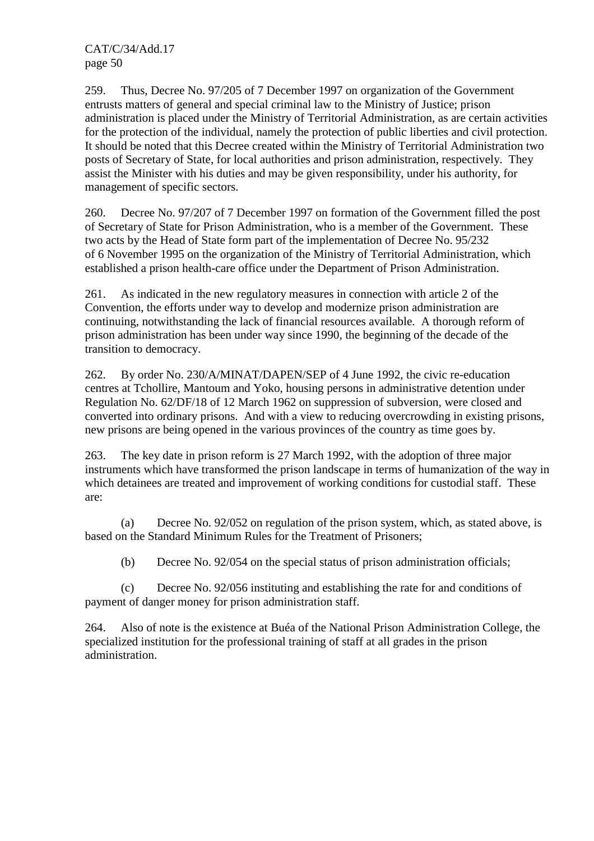259. Thus, Decree No. 97/205 of 7 December 1997 on organization of the Government entrusts matters of general and special criminal law to the Ministry of Justice; prison administration is placed under the Ministry of Territorial Administration, as are certain activities for the protection of the individual, namely the protection of public liberties and civil protection. It should be noted that this Decree created within the Ministry of Territorial Administration two posts of Secretary of State, for local authorities and prison administration, respectively. They assist the Minister with his duties and may be given responsibility, under his authority, for management of specific sectors.

260. Decree No. 97/207 of 7 December 1997 on formation of the Government filled the post of Secretary of State for Prison Administration, who is a member of the Government. These two acts by the Head of State form part of the implementation of Decree No. 95/232 of 6 November 1995 on the organization of the Ministry of Territorial Administration, which established a prison health-care office under the Department of Prison Administration.

261. As indicated in the new regulatory measures in connection with article 2 of the Convention, the efforts under way to develop and modernize prison administration are continuing, notwithstanding the lack of financial resources available. A thorough reform of prison administration has been under way since 1990, the beginning of the decade of the transition to democracy.

262. By order No. 230/A/MINAT/DAPEN/SEP of 4 June 1992, the civic re-education centres at Tchollire, Mantoum and Yoko, housing persons in administrative detention under Regulation No. 62/DF/18 of 12 March 1962 on suppression of subversion, were closed and converted into ordinary prisons. And with a view to reducing overcrowding in existing prisons, new prisons are being opened in the various provinces of the country as time goes by.

263. The key date in prison reform is 27 March 1992, with the adoption of three major instruments which have transformed the prison landscape in terms of humanization of the way in which detainees are treated and improvement of working conditions for custodial staff. These are:

 (a) Decree No. 92/052 on regulation of the prison system, which, as stated above, is based on the Standard Minimum Rules for the Treatment of Prisoners;

(b) Decree No. 92/054 on the special status of prison administration officials;

 (c) Decree No. 92/056 instituting and establishing the rate for and conditions of payment of danger money for prison administration staff.

264. Also of note is the existence at Buéa of the National Prison Administration College, the specialized institution for the professional training of staff at all grades in the prison administration.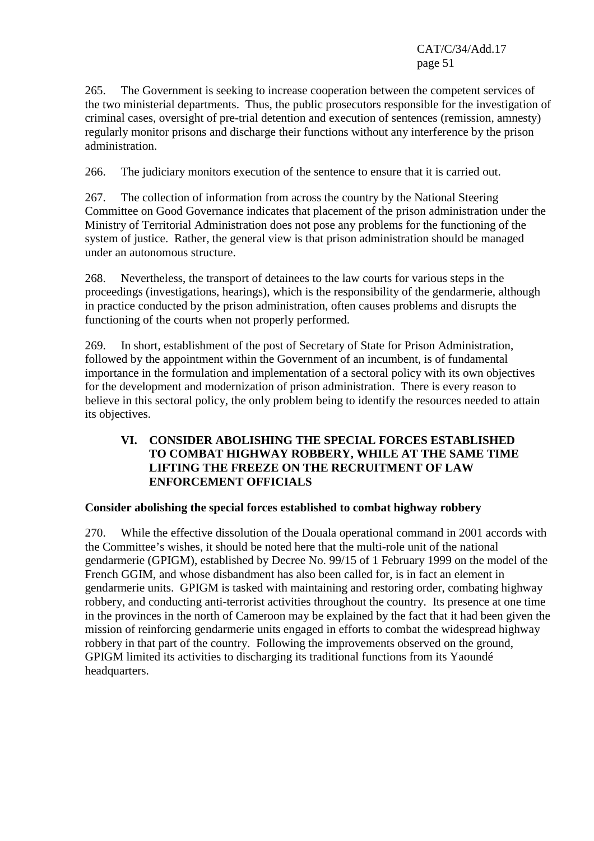265. The Government is seeking to increase cooperation between the competent services of the two ministerial departments. Thus, the public prosecutors responsible for the investigation of criminal cases, oversight of pre-trial detention and execution of sentences (remission, amnesty) regularly monitor prisons and discharge their functions without any interference by the prison administration.

266. The judiciary monitors execution of the sentence to ensure that it is carried out.

267. The collection of information from across the country by the National Steering Committee on Good Governance indicates that placement of the prison administration under the Ministry of Territorial Administration does not pose any problems for the functioning of the system of justice. Rather, the general view is that prison administration should be managed under an autonomous structure.

268. Nevertheless, the transport of detainees to the law courts for various steps in the proceedings (investigations, hearings), which is the responsibility of the gendarmerie, although in practice conducted by the prison administration, often causes problems and disrupts the functioning of the courts when not properly performed.

269. In short, establishment of the post of Secretary of State for Prison Administration, followed by the appointment within the Government of an incumbent, is of fundamental importance in the formulation and implementation of a sectoral policy with its own objectives for the development and modernization of prison administration. There is every reason to believe in this sectoral policy, the only problem being to identify the resources needed to attain its objectives.

## **VI. CONSIDER ABOLISHING THE SPECIAL FORCES ESTABLISHED TO COMBAT HIGHWAY ROBBERY, WHILE AT THE SAME TIME LIFTING THE FREEZE ON THE RECRUITMENT OF LAW ENFORCEMENT OFFICIALS**

## **Consider abolishing the special forces established to combat highway robbery**

270. While the effective dissolution of the Douala operational command in 2001 accords with the Committee's wishes, it should be noted here that the multi-role unit of the national gendarmerie (GPIGM), established by Decree No. 99/15 of 1 February 1999 on the model of the French GGIM, and whose disbandment has also been called for, is in fact an element in gendarmerie units. GPIGM is tasked with maintaining and restoring order, combating highway robbery, and conducting anti-terrorist activities throughout the country. Its presence at one time in the provinces in the north of Cameroon may be explained by the fact that it had been given the mission of reinforcing gendarmerie units engaged in efforts to combat the widespread highway robbery in that part of the country. Following the improvements observed on the ground, GPIGM limited its activities to discharging its traditional functions from its Yaoundé headquarters.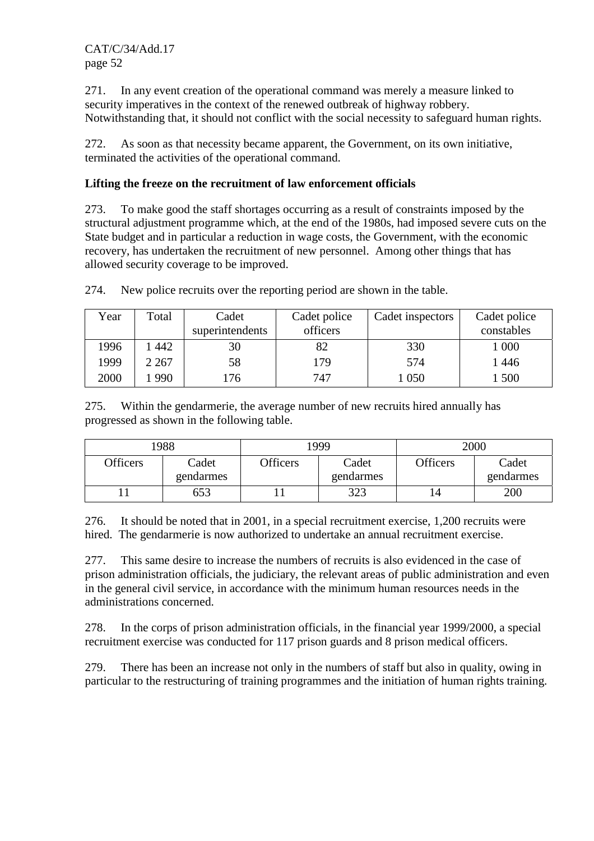271. In any event creation of the operational command was merely a measure linked to security imperatives in the context of the renewed outbreak of highway robbery. Notwithstanding that, it should not conflict with the social necessity to safeguard human rights.

272. As soon as that necessity became apparent, the Government, on its own initiative, terminated the activities of the operational command.

## **Lifting the freeze on the recruitment of law enforcement officials**

273. To make good the staff shortages occurring as a result of constraints imposed by the structural adjustment programme which, at the end of the 1980s, had imposed severe cuts on the State budget and in particular a reduction in wage costs, the Government, with the economic recovery, has undertaken the recruitment of new personnel. Among other things that has allowed security coverage to be improved.

| Year | Total   | Cadet<br>superintendents | Cadet police<br>officers | Cadet inspectors | Cadet police<br>constables |
|------|---------|--------------------------|--------------------------|------------------|----------------------------|
| 1996 | 442     | 30                       | 82                       | 330              | 000                        |
| 1999 | 2 2 6 7 | 58                       | 179                      | 574              | 446                        |
| 2000 | 990     | 76                       | 747                      | 050              | 500                        |

274. New police recruits over the reporting period are shown in the table.

275. Within the gendarmerie, the average number of new recruits hired annually has progressed as shown in the following table.

|          | 988                |          | 1999               |          | 2000               |
|----------|--------------------|----------|--------------------|----------|--------------------|
| Officers | Cadet<br>gendarmes | Officers | Cadet<br>gendarmes | Officers | Cadet<br>gendarmes |
|          | 653                |          | 323                | 14       | 200                |

276. It should be noted that in 2001, in a special recruitment exercise, 1,200 recruits were hired. The gendarmerie is now authorized to undertake an annual recruitment exercise.

277. This same desire to increase the numbers of recruits is also evidenced in the case of prison administration officials, the judiciary, the relevant areas of public administration and even in the general civil service, in accordance with the minimum human resources needs in the administrations concerned.

278. In the corps of prison administration officials, in the financial year 1999/2000, a special recruitment exercise was conducted for 117 prison guards and 8 prison medical officers.

279. There has been an increase not only in the numbers of staff but also in quality, owing in particular to the restructuring of training programmes and the initiation of human rights training.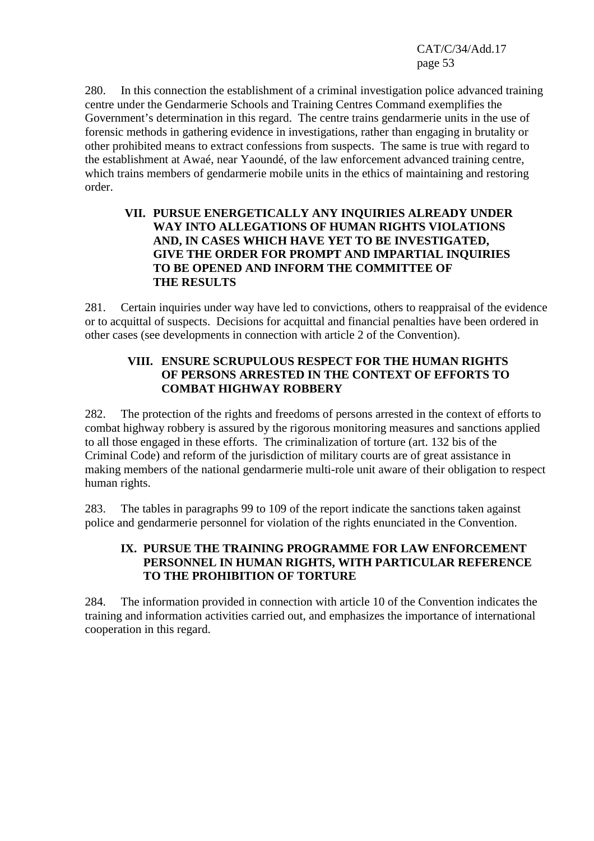280. In this connection the establishment of a criminal investigation police advanced training centre under the Gendarmerie Schools and Training Centres Command exemplifies the Government's determination in this regard. The centre trains gendarmerie units in the use of forensic methods in gathering evidence in investigations, rather than engaging in brutality or other prohibited means to extract confessions from suspects. The same is true with regard to the establishment at Awaé, near Yaoundé, of the law enforcement advanced training centre, which trains members of gendarmerie mobile units in the ethics of maintaining and restoring order.

#### **VII. PURSUE ENERGETICALLY ANY INQUIRIES ALREADY UNDER WAY INTO ALLEGATIONS OF HUMAN RIGHTS VIOLATIONS AND, IN CASES WHICH HAVE YET TO BE INVESTIGATED, GIVE THE ORDER FOR PROMPT AND IMPARTIAL INQUIRIES TO BE OPENED AND INFORM THE COMMITTEE OF THE RESULTS**

281. Certain inquiries under way have led to convictions, others to reappraisal of the evidence or to acquittal of suspects. Decisions for acquittal and financial penalties have been ordered in other cases (see developments in connection with article 2 of the Convention).

## **VIII. ENSURE SCRUPULOUS RESPECT FOR THE HUMAN RIGHTS OF PERSONS ARRESTED IN THE CONTEXT OF EFFORTS TO COMBAT HIGHWAY ROBBERY**

282. The protection of the rights and freedoms of persons arrested in the context of efforts to combat highway robbery is assured by the rigorous monitoring measures and sanctions applied to all those engaged in these efforts. The criminalization of torture (art. 132 bis of the Criminal Code) and reform of the jurisdiction of military courts are of great assistance in making members of the national gendarmerie multi-role unit aware of their obligation to respect human rights.

283. The tables in paragraphs 99 to 109 of the report indicate the sanctions taken against police and gendarmerie personnel for violation of the rights enunciated in the Convention.

## **IX. PURSUE THE TRAINING PROGRAMME FOR LAW ENFORCEMENT PERSONNEL IN HUMAN RIGHTS, WITH PARTICULAR REFERENCE TO THE PROHIBITION OF TORTURE**

284. The information provided in connection with article 10 of the Convention indicates the training and information activities carried out, and emphasizes the importance of international cooperation in this regard.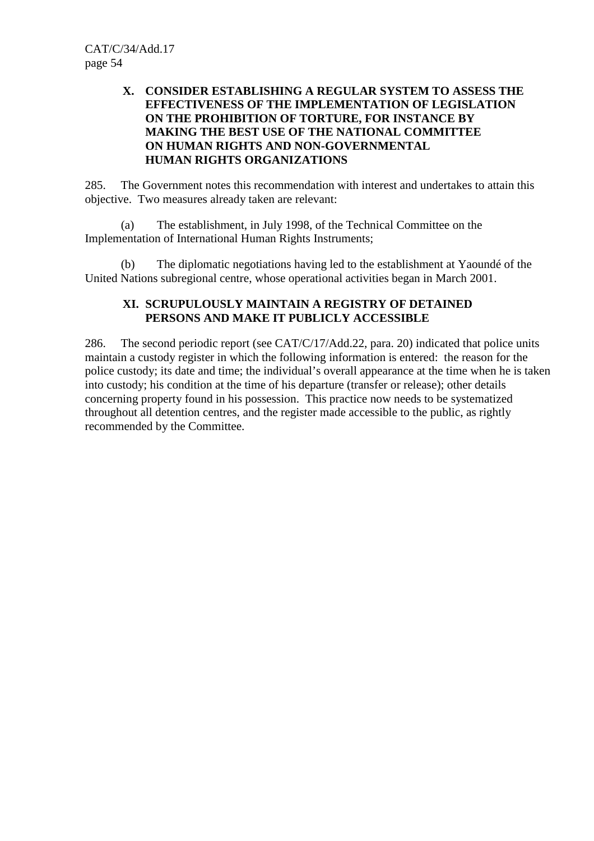## **X. CONSIDER ESTABLISHING A REGULAR SYSTEM TO ASSESS THE EFFECTIVENESS OF THE IMPLEMENTATION OF LEGISLATION ON THE PROHIBITION OF TORTURE, FOR INSTANCE BY MAKING THE BEST USE OF THE NATIONAL COMMITTEE ON HUMAN RIGHTS AND NON-GOVERNMENTAL HUMAN RIGHTS ORGANIZATIONS**

285. The Government notes this recommendation with interest and undertakes to attain this objective. Two measures already taken are relevant:

 (a) The establishment, in July 1998, of the Technical Committee on the Implementation of International Human Rights Instruments;

 (b) The diplomatic negotiations having led to the establishment at Yaoundé of the United Nations subregional centre, whose operational activities began in March 2001.

## **XI. SCRUPULOUSLY MAINTAIN A REGISTRY OF DETAINED PERSONS AND MAKE IT PUBLICLY ACCESSIBLE**

286. The second periodic report (see CAT/C/17/Add.22, para. 20) indicated that police units maintain a custody register in which the following information is entered: the reason for the police custody; its date and time; the individual's overall appearance at the time when he is taken into custody; his condition at the time of his departure (transfer or release); other details concerning property found in his possession. This practice now needs to be systematized throughout all detention centres, and the register made accessible to the public, as rightly recommended by the Committee.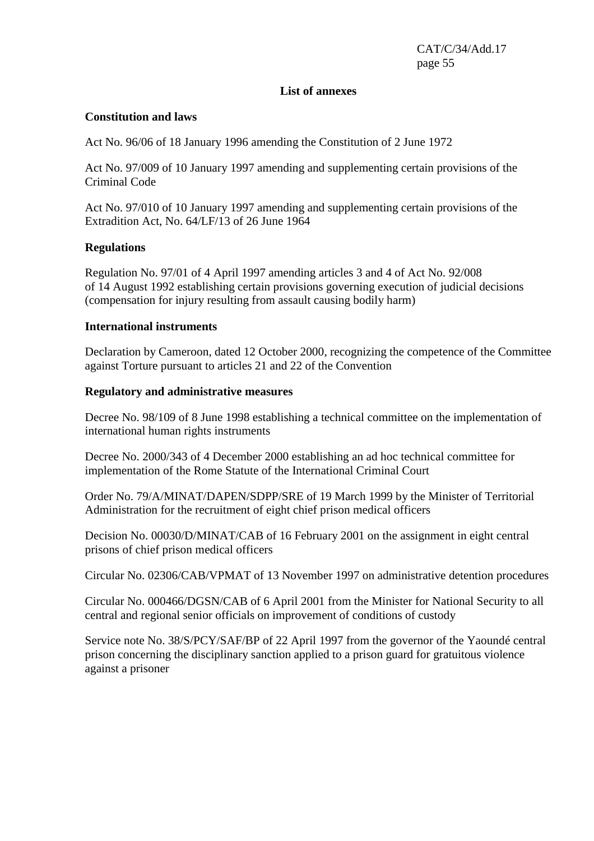#### **List of annexes**

#### **Constitution and laws**

Act No. 96/06 of 18 January 1996 amending the Constitution of 2 June 1972

Act No. 97/009 of 10 January 1997 amending and supplementing certain provisions of the Criminal Code

Act No. 97/010 of 10 January 1997 amending and supplementing certain provisions of the Extradition Act, No. 64/LF/13 of 26 June 1964

#### **Regulations**

Regulation No. 97/01 of 4 April 1997 amending articles 3 and 4 of Act No. 92/008 of 14 August 1992 establishing certain provisions governing execution of judicial decisions (compensation for injury resulting from assault causing bodily harm)

#### **International instruments**

Declaration by Cameroon, dated 12 October 2000, recognizing the competence of the Committee against Torture pursuant to articles 21 and 22 of the Convention

#### **Regulatory and administrative measures**

Decree No. 98/109 of 8 June 1998 establishing a technical committee on the implementation of international human rights instruments

Decree No. 2000/343 of 4 December 2000 establishing an ad hoc technical committee for implementation of the Rome Statute of the International Criminal Court

Order No. 79/A/MINAT/DAPEN/SDPP/SRE of 19 March 1999 by the Minister of Territorial Administration for the recruitment of eight chief prison medical officers

Decision No. 00030/D/MINAT/CAB of 16 February 2001 on the assignment in eight central prisons of chief prison medical officers

Circular No. 02306/CAB/VPMAT of 13 November 1997 on administrative detention procedures

Circular No. 000466/DGSN/CAB of 6 April 2001 from the Minister for National Security to all central and regional senior officials on improvement of conditions of custody

Service note No. 38/S/PCY/SAF/BP of 22 April 1997 from the governor of the Yaoundé central prison concerning the disciplinary sanction applied to a prison guard for gratuitous violence against a prisoner